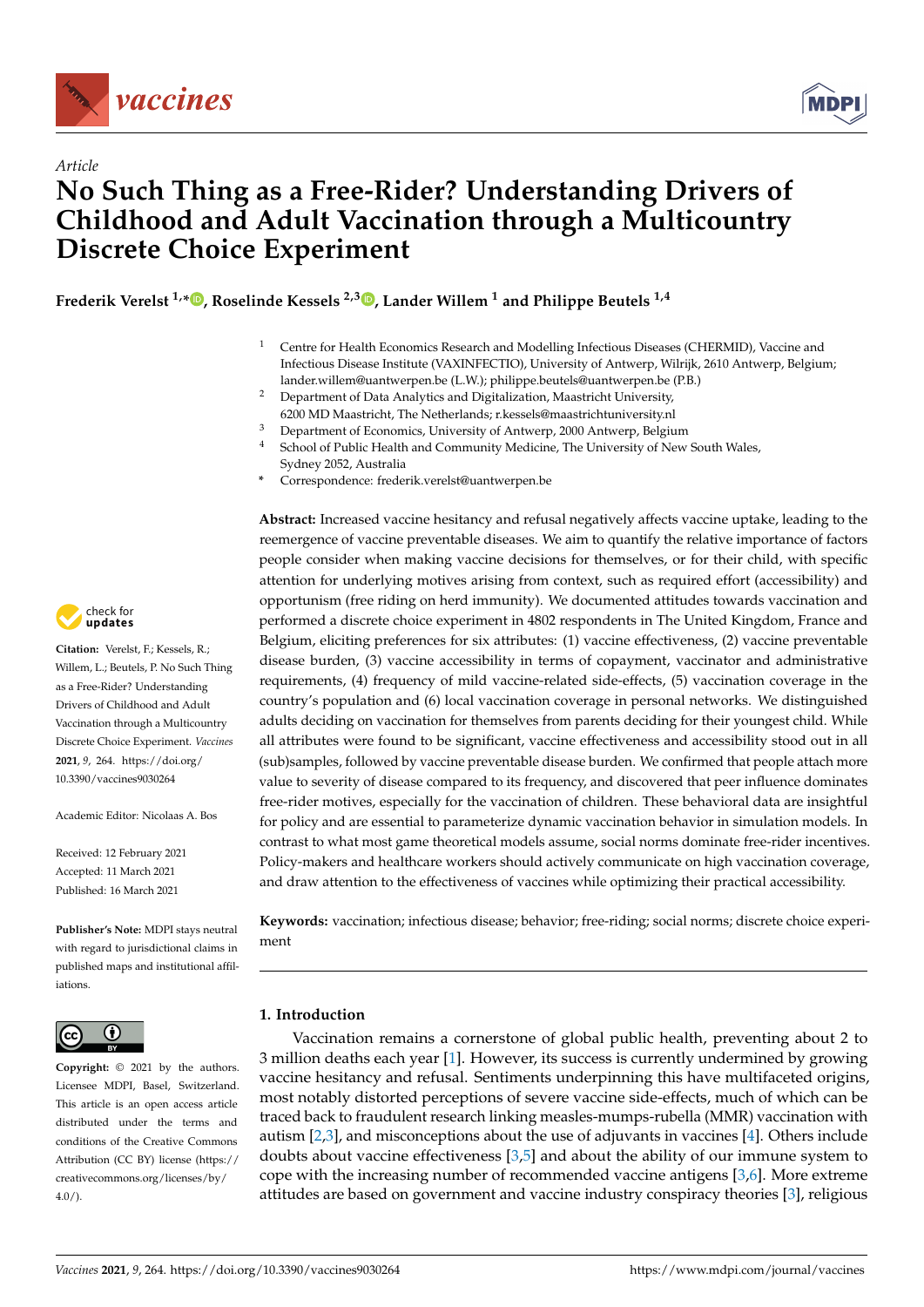

*Article*



# **No Such Thing as a Free-Rider? Understanding Drivers of Childhood and Adult Vaccination through a Multicountry Discrete Choice Experiment**

**Frederik Verelst 1,[\\*](https://orcid.org/0000-0001-8399-743X) , Roselinde Kessels 2,3 [,](https://orcid.org/0000-0002-4534-0047) Lander Willem <sup>1</sup> and Philippe Beutels 1,4**

- <sup>1</sup> Centre for Health Economics Research and Modelling Infectious Diseases (CHERMID), Vaccine and Infectious Disease Institute (VAXINFECTIO), University of Antwerp, Wilrijk, 2610 Antwerp, Belgium; lander.willem@uantwerpen.be (L.W.); philippe.beutels@uantwerpen.be (P.B.)
- <sup>2</sup> Department of Data Analytics and Digitalization, Maastricht University, 6200 MD Maastricht, The Netherlands; r.kessels@maastrichtuniversity.nl
- <sup>3</sup> Department of Economics, University of Antwerp, 2000 Antwerp, Belgium
- School of Public Health and Community Medicine, The University of New South Wales, Sydney 2052, Australia
- **\*** Correspondence: frederik.verelst@uantwerpen.be

**Abstract:** Increased vaccine hesitancy and refusal negatively affects vaccine uptake, leading to the reemergence of vaccine preventable diseases. We aim to quantify the relative importance of factors people consider when making vaccine decisions for themselves, or for their child, with specific attention for underlying motives arising from context, such as required effort (accessibility) and opportunism (free riding on herd immunity). We documented attitudes towards vaccination and performed a discrete choice experiment in 4802 respondents in The United Kingdom, France and Belgium, eliciting preferences for six attributes: (1) vaccine effectiveness, (2) vaccine preventable disease burden, (3) vaccine accessibility in terms of copayment, vaccinator and administrative requirements, (4) frequency of mild vaccine-related side-effects, (5) vaccination coverage in the country's population and (6) local vaccination coverage in personal networks. We distinguished adults deciding on vaccination for themselves from parents deciding for their youngest child. While all attributes were found to be significant, vaccine effectiveness and accessibility stood out in all (sub)samples, followed by vaccine preventable disease burden. We confirmed that people attach more value to severity of disease compared to its frequency, and discovered that peer influence dominates free-rider motives, especially for the vaccination of children. These behavioral data are insightful for policy and are essential to parameterize dynamic vaccination behavior in simulation models. In contrast to what most game theoretical models assume, social norms dominate free-rider incentives. Policy-makers and healthcare workers should actively communicate on high vaccination coverage, and draw attention to the effectiveness of vaccines while optimizing their practical accessibility.

**Keywords:** vaccination; infectious disease; behavior; free-riding; social norms; discrete choice experiment

## **1. Introduction**

Vaccination remains a cornerstone of global public health, preventing about 2 to 3 million deaths each year [\[1\]](#page-13-0). However, its success is currently undermined by growing vaccine hesitancy and refusal. Sentiments underpinning this have multifaceted origins, most notably distorted perceptions of severe vaccine side-effects, much of which can be traced back to fraudulent research linking measles-mumps-rubella (MMR) vaccination with autism [\[2,](#page-13-1)[3\]](#page-13-2), and misconceptions about the use of adjuvants in vaccines [\[4\]](#page-13-3). Others include doubts about vaccine effectiveness [\[3,](#page-13-2)[5\]](#page-13-4) and about the ability of our immune system to cope with the increasing number of recommended vaccine antigens  $[3,6]$  $[3,6]$ . More extreme attitudes are based on government and vaccine industry conspiracy theories [\[3\]](#page-13-2), religious



**Citation:** Verelst, F.; Kessels, R.; Willem, L.; Beutels, P. No Such Thing as a Free-Rider? Understanding Drivers of Childhood and Adult Vaccination through a Multicountry Discrete Choice Experiment. *Vaccines* **2021**, *9*, 264. [https://doi.org/](https://doi.org/10.3390/vaccines9030264) [10.3390/vaccines9030264](https://doi.org/10.3390/vaccines9030264)

Academic Editor: Nicolaas A. Bos

Received: 12 February 2021 Accepted: 11 March 2021 Published: 16 March 2021

**Publisher's Note:** MDPI stays neutral with regard to jurisdictional claims in published maps and institutional affiliations.



**Copyright:** © 2021 by the authors. Licensee MDPI, Basel, Switzerland. This article is an open access article distributed under the terms and conditions of the Creative Commons Attribution (CC BY) license (https:/[/](https://creativecommons.org/licenses/by/4.0/) [creativecommons.org/licenses/by/](https://creativecommons.org/licenses/by/4.0/)  $4.0/$ ).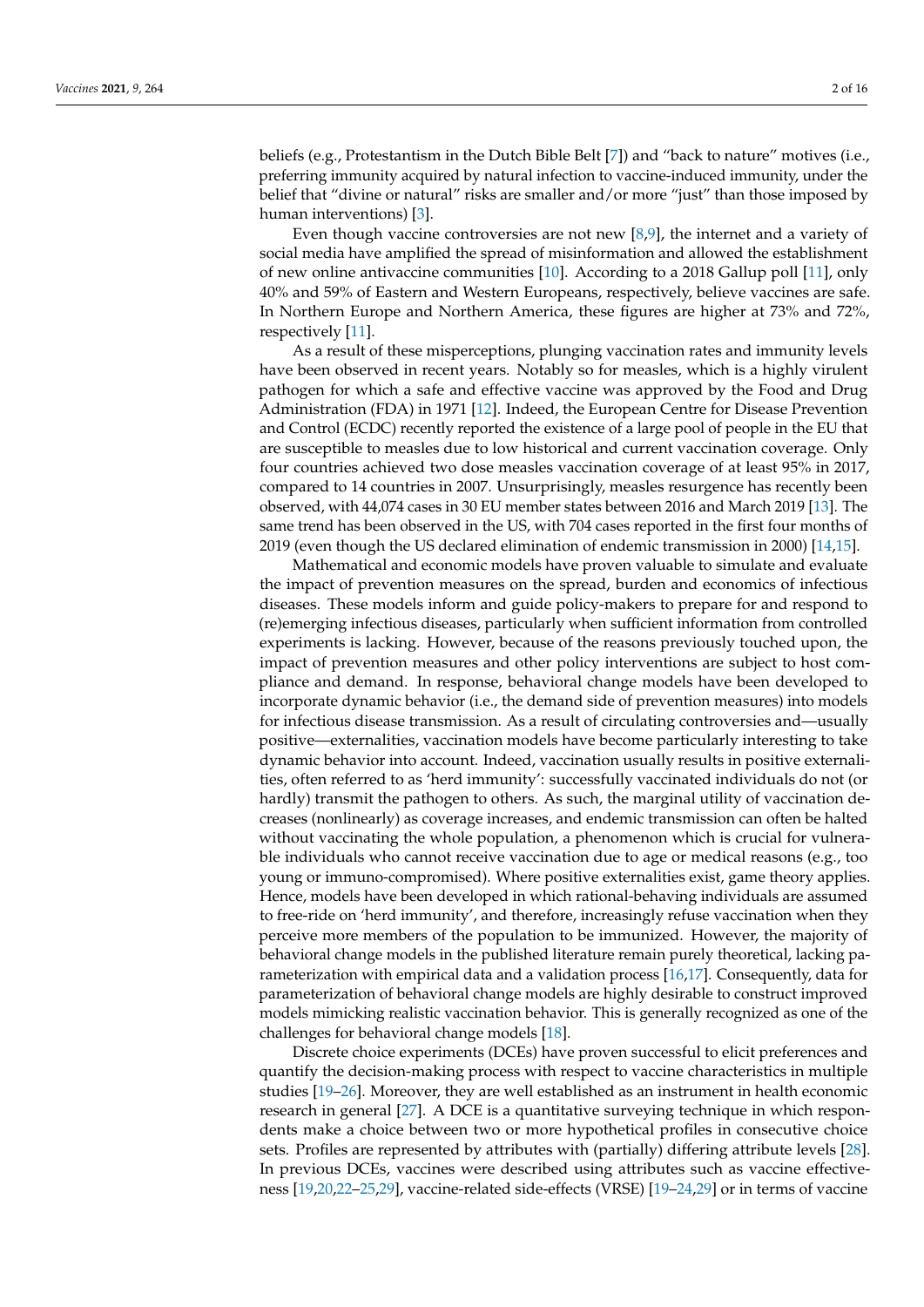beliefs (e.g., Protestantism in the Dutch Bible Belt [\[7\]](#page-13-6)) and "back to nature" motives (i.e., preferring immunity acquired by natural infection to vaccine-induced immunity, under the belief that "divine or natural" risks are smaller and/or more "just" than those imposed by human interventions) [\[3\]](#page-13-2).

Even though vaccine controversies are not new  $[8,9]$  $[8,9]$ , the internet and a variety of social media have amplified the spread of misinformation and allowed the establishment of new online antivaccine communities [\[10\]](#page-13-9). According to a 2018 Gallup poll [\[11\]](#page-13-10), only 40% and 59% of Eastern and Western Europeans, respectively, believe vaccines are safe. In Northern Europe and Northern America, these figures are higher at 73% and 72%, respectively [\[11\]](#page-13-10).

As a result of these misperceptions, plunging vaccination rates and immunity levels have been observed in recent years. Notably so for measles, which is a highly virulent pathogen for which a safe and effective vaccine was approved by the Food and Drug Administration (FDA) in 1971 [\[12\]](#page-13-11). Indeed, the European Centre for Disease Prevention and Control (ECDC) recently reported the existence of a large pool of people in the EU that are susceptible to measles due to low historical and current vaccination coverage. Only four countries achieved two dose measles vaccination coverage of at least 95% in 2017, compared to 14 countries in 2007. Unsurprisingly, measles resurgence has recently been observed, with 44,074 cases in 30 EU member states between 2016 and March 2019 [\[13\]](#page-13-12). The same trend has been observed in the US, with 704 cases reported in the first four months of 2019 (even though the US declared elimination of endemic transmission in 2000) [\[14,](#page-13-13)[15\]](#page-13-14).

Mathematical and economic models have proven valuable to simulate and evaluate the impact of prevention measures on the spread, burden and economics of infectious diseases. These models inform and guide policy-makers to prepare for and respond to (re)emerging infectious diseases, particularly when sufficient information from controlled experiments is lacking. However, because of the reasons previously touched upon, the impact of prevention measures and other policy interventions are subject to host compliance and demand. In response, behavioral change models have been developed to incorporate dynamic behavior (i.e., the demand side of prevention measures) into models for infectious disease transmission. As a result of circulating controversies and—usually positive—externalities, vaccination models have become particularly interesting to take dynamic behavior into account. Indeed, vaccination usually results in positive externalities, often referred to as 'herd immunity': successfully vaccinated individuals do not (or hardly) transmit the pathogen to others. As such, the marginal utility of vaccination decreases (nonlinearly) as coverage increases, and endemic transmission can often be halted without vaccinating the whole population, a phenomenon which is crucial for vulnerable individuals who cannot receive vaccination due to age or medical reasons (e.g., too young or immuno-compromised). Where positive externalities exist, game theory applies. Hence, models have been developed in which rational-behaving individuals are assumed to free-ride on 'herd immunity', and therefore, increasingly refuse vaccination when they perceive more members of the population to be immunized. However, the majority of behavioral change models in the published literature remain purely theoretical, lacking parameterization with empirical data and a validation process [\[16,](#page-13-15)[17\]](#page-13-16). Consequently, data for parameterization of behavioral change models are highly desirable to construct improved models mimicking realistic vaccination behavior. This is generally recognized as one of the challenges for behavioral change models [\[18\]](#page-13-17).

Discrete choice experiments (DCEs) have proven successful to elicit preferences and quantify the decision-making process with respect to vaccine characteristics in multiple studies [\[19–](#page-13-18)[26\]](#page-14-0). Moreover, they are well established as an instrument in health economic research in general [\[27\]](#page-14-1). A DCE is a quantitative surveying technique in which respondents make a choice between two or more hypothetical profiles in consecutive choice sets. Profiles are represented by attributes with (partially) differing attribute levels [\[28\]](#page-14-2). In previous DCEs, vaccines were described using attributes such as vaccine effectiveness [\[19,](#page-13-18)[20,](#page-13-19)[22–](#page-14-3)[25](#page-14-4)[,29\]](#page-14-5), vaccine-related side-effects (VRSE) [\[19](#page-13-18)[–24](#page-14-6)[,29\]](#page-14-5) or in terms of vaccine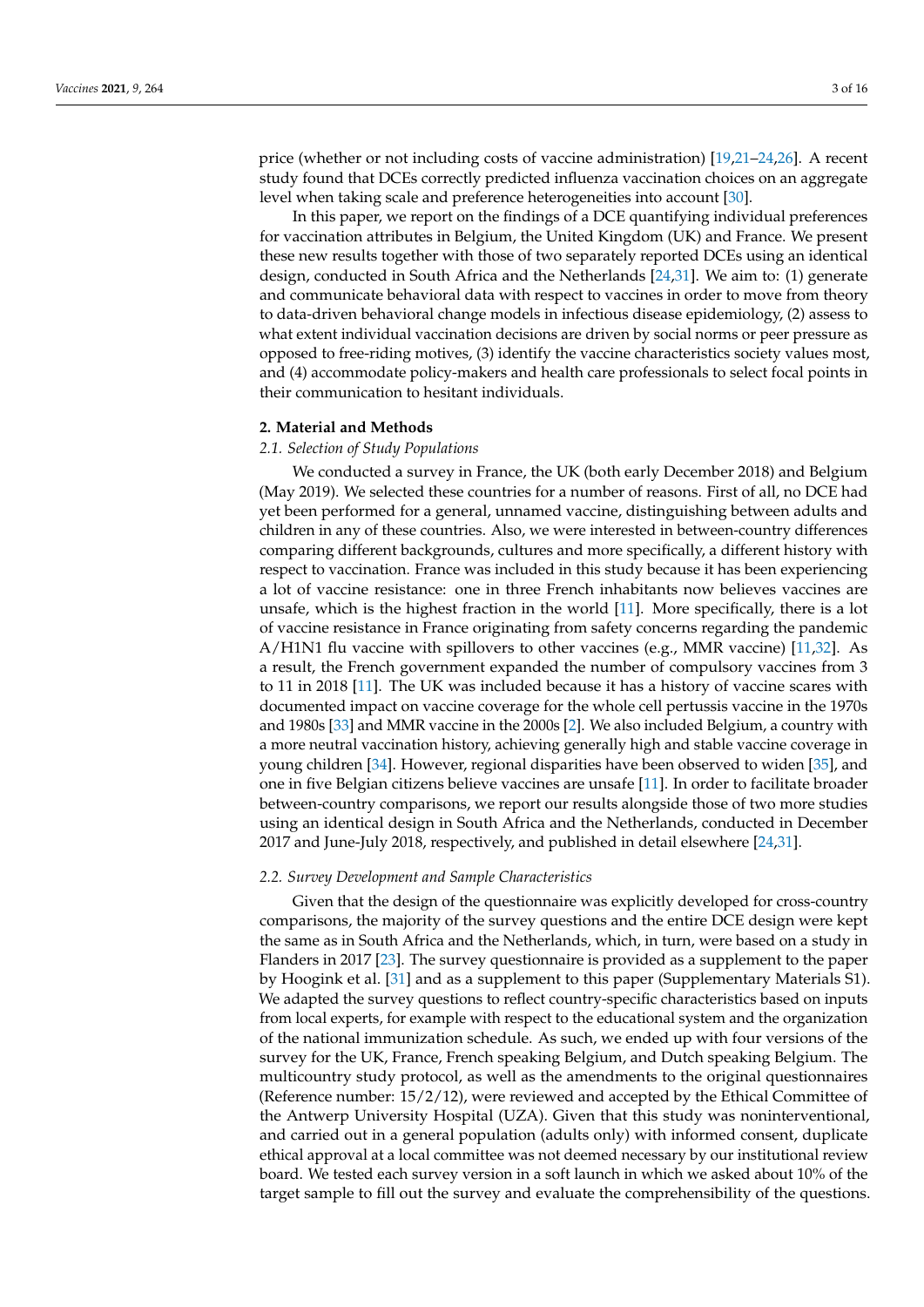price (whether or not including costs of vaccine administration) [\[19,](#page-13-18)[21–](#page-13-20)[24,](#page-14-6)[26\]](#page-14-0). A recent study found that DCEs correctly predicted influenza vaccination choices on an aggregate level when taking scale and preference heterogeneities into account [\[30\]](#page-14-7).

In this paper, we report on the findings of a DCE quantifying individual preferences for vaccination attributes in Belgium, the United Kingdom (UK) and France. We present these new results together with those of two separately reported DCEs using an identical design, conducted in South Africa and the Netherlands [\[24](#page-14-6)[,31\]](#page-14-8). We aim to: (1) generate and communicate behavioral data with respect to vaccines in order to move from theory to data-driven behavioral change models in infectious disease epidemiology, (2) assess to what extent individual vaccination decisions are driven by social norms or peer pressure as opposed to free-riding motives, (3) identify the vaccine characteristics society values most, and (4) accommodate policy-makers and health care professionals to select focal points in their communication to hesitant individuals.

#### **2. Material and Methods**

### *2.1. Selection of Study Populations*

We conducted a survey in France, the UK (both early December 2018) and Belgium (May 2019). We selected these countries for a number of reasons. First of all, no DCE had yet been performed for a general, unnamed vaccine, distinguishing between adults and children in any of these countries. Also, we were interested in between-country differences comparing different backgrounds, cultures and more specifically, a different history with respect to vaccination. France was included in this study because it has been experiencing a lot of vaccine resistance: one in three French inhabitants now believes vaccines are unsafe, which is the highest fraction in the world [\[11\]](#page-13-10). More specifically, there is a lot of vaccine resistance in France originating from safety concerns regarding the pandemic A/H1N1 flu vaccine with spillovers to other vaccines (e.g., MMR vaccine) [\[11,](#page-13-10)[32\]](#page-14-9). As a result, the French government expanded the number of compulsory vaccines from 3 to 11 in 2018 [\[11\]](#page-13-10). The UK was included because it has a history of vaccine scares with documented impact on vaccine coverage for the whole cell pertussis vaccine in the 1970s and 1980s [\[33\]](#page-14-10) and MMR vaccine in the 2000s [\[2\]](#page-13-1). We also included Belgium, a country with a more neutral vaccination history, achieving generally high and stable vaccine coverage in young children [\[34\]](#page-14-11). However, regional disparities have been observed to widen [\[35\]](#page-14-12), and one in five Belgian citizens believe vaccines are unsafe [\[11\]](#page-13-10). In order to facilitate broader between-country comparisons, we report our results alongside those of two more studies using an identical design in South Africa and the Netherlands, conducted in December 2017 and June-July 2018, respectively, and published in detail elsewhere [\[24,](#page-14-6)[31\]](#page-14-8).

#### *2.2. Survey Development and Sample Characteristics*

Given that the design of the questionnaire was explicitly developed for cross-country comparisons, the majority of the survey questions and the entire DCE design were kept the same as in South Africa and the Netherlands, which, in turn, were based on a study in Flanders in 2017 [\[23\]](#page-14-13). The survey questionnaire is provided as a supplement to the paper by Hoogink et al. [\[31\]](#page-14-8) and as a supplement to this paper (Supplementary Materials S1). We adapted the survey questions to reflect country-specific characteristics based on inputs from local experts, for example with respect to the educational system and the organization of the national immunization schedule. As such, we ended up with four versions of the survey for the UK, France, French speaking Belgium, and Dutch speaking Belgium. The multicountry study protocol, as well as the amendments to the original questionnaires (Reference number: 15/2/12), were reviewed and accepted by the Ethical Committee of the Antwerp University Hospital (UZA). Given that this study was noninterventional, and carried out in a general population (adults only) with informed consent, duplicate ethical approval at a local committee was not deemed necessary by our institutional review board. We tested each survey version in a soft launch in which we asked about 10% of the target sample to fill out the survey and evaluate the comprehensibility of the questions.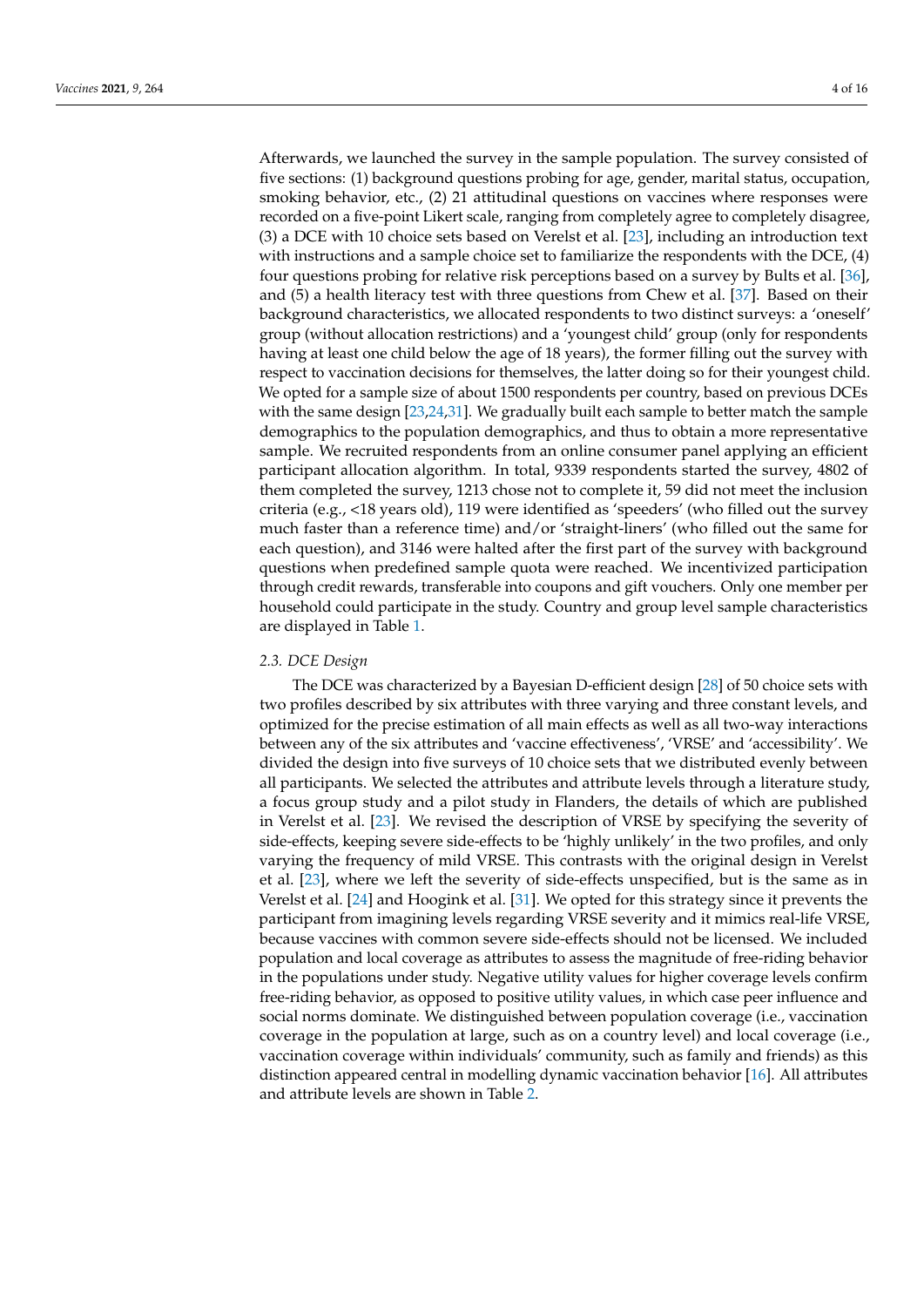Afterwards, we launched the survey in the sample population. The survey consisted of five sections: (1) background questions probing for age, gender, marital status, occupation, smoking behavior, etc., (2) 21 attitudinal questions on vaccines where responses were recorded on a five-point Likert scale, ranging from completely agree to completely disagree, (3) a DCE with 10 choice sets based on Verelst et al. [\[23\]](#page-14-13), including an introduction text with instructions and a sample choice set to familiarize the respondents with the DCE, (4) four questions probing for relative risk perceptions based on a survey by Bults et al. [\[36\]](#page-14-14), and (5) a health literacy test with three questions from Chew et al. [\[37\]](#page-14-15). Based on their background characteristics, we allocated respondents to two distinct surveys: a 'oneself' group (without allocation restrictions) and a 'youngest child' group (only for respondents having at least one child below the age of 18 years), the former filling out the survey with respect to vaccination decisions for themselves, the latter doing so for their youngest child. We opted for a sample size of about 1500 respondents per country, based on previous DCEs with the same design [\[23](#page-14-13)[,24,](#page-14-6)[31\]](#page-14-8). We gradually built each sample to better match the sample demographics to the population demographics, and thus to obtain a more representative sample. We recruited respondents from an online consumer panel applying an efficient participant allocation algorithm. In total, 9339 respondents started the survey, 4802 of them completed the survey, 1213 chose not to complete it, 59 did not meet the inclusion criteria (e.g., <18 years old), 119 were identified as 'speeders' (who filled out the survey much faster than a reference time) and/or 'straight-liners' (who filled out the same for each question), and 3146 were halted after the first part of the survey with background questions when predefined sample quota were reached. We incentivized participation through credit rewards, transferable into coupons and gift vouchers. Only one member per household could participate in the study. Country and group level sample characteristics are displayed in Table [1.](#page-4-0)

#### *2.3. DCE Design*

The DCE was characterized by a Bayesian D-efficient design [\[28\]](#page-14-2) of 50 choice sets with two profiles described by six attributes with three varying and three constant levels, and optimized for the precise estimation of all main effects as well as all two-way interactions between any of the six attributes and 'vaccine effectiveness', 'VRSE' and 'accessibility'. We divided the design into five surveys of 10 choice sets that we distributed evenly between all participants. We selected the attributes and attribute levels through a literature study, a focus group study and a pilot study in Flanders, the details of which are published in Verelst et al. [\[23\]](#page-14-13). We revised the description of VRSE by specifying the severity of side-effects, keeping severe side-effects to be 'highly unlikely' in the two profiles, and only varying the frequency of mild VRSE. This contrasts with the original design in Verelst et al. [\[23\]](#page-14-13), where we left the severity of side-effects unspecified, but is the same as in Verelst et al. [\[24\]](#page-14-6) and Hoogink et al. [\[31\]](#page-14-8). We opted for this strategy since it prevents the participant from imagining levels regarding VRSE severity and it mimics real-life VRSE, because vaccines with common severe side-effects should not be licensed. We included population and local coverage as attributes to assess the magnitude of free-riding behavior in the populations under study. Negative utility values for higher coverage levels confirm free-riding behavior, as opposed to positive utility values, in which case peer influence and social norms dominate. We distinguished between population coverage (i.e., vaccination coverage in the population at large, such as on a country level) and local coverage (i.e., vaccination coverage within individuals' community, such as family and friends) as this distinction appeared central in modelling dynamic vaccination behavior [\[16\]](#page-13-15). All attributes and attribute levels are shown in Table [2.](#page-5-0)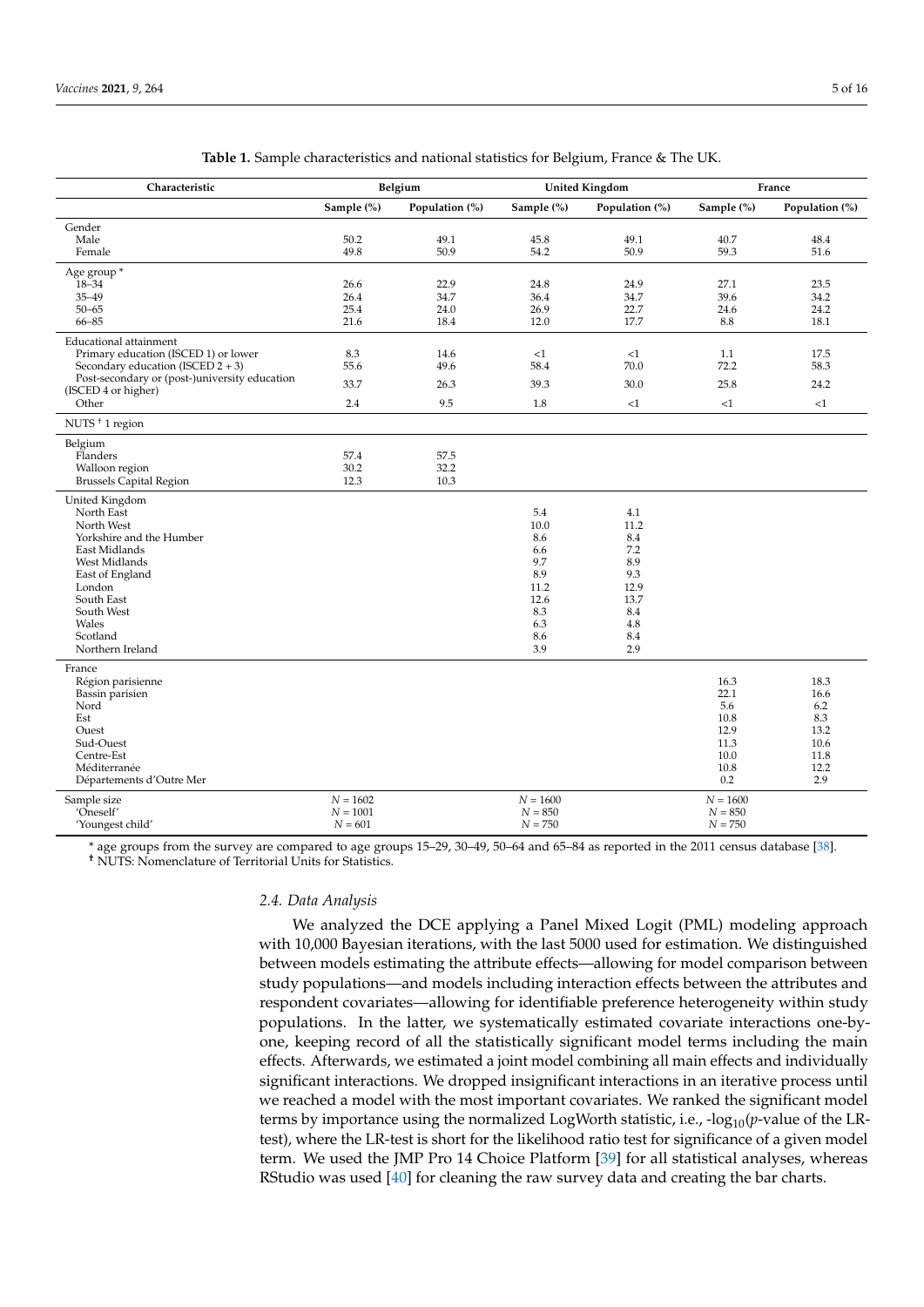<span id="page-4-0"></span>

| Characteristic                                |            | Belgium        |            | <b>United Kingdom</b> |            | France            |
|-----------------------------------------------|------------|----------------|------------|-----------------------|------------|-------------------|
|                                               | Sample (%) | Population (%) | Sample (%) | Population (%)        | Sample (%) | Population $(\%)$ |
| Gender                                        |            |                |            |                       |            |                   |
| Male                                          | 50.2       | 49.1           | 45.8       | 49.1                  | 40.7       | 48.4              |
| Female                                        | 49.8       | 50.9           | 54.2       | 50.9                  | 59.3       | 51.6              |
| Age group *                                   |            |                |            |                       |            |                   |
| $18 - 34$                                     | 26.6       | 22.9           | 24.8       | 24.9                  | 27.1       | 23.5              |
| $35 - 49$                                     | 26.4       | 34.7           | 36.4       | 34.7                  | 39.6       | 34.2              |
| $50 - 65$                                     | 25.4       | 24.0           | 26.9       | 22.7                  | 24.6       | 24.2              |
| $66 - 85$                                     | 21.6       | 18.4           | 12.0       | 17.7                  | 8.8        | 18.1              |
| <b>Educational attainment</b>                 |            |                |            |                       |            |                   |
| Primary education (ISCED 1) or lower          | 8.3        | 14.6           | <1         | <1                    | 1.1        | 17.5              |
| Secondary education (ISCED $2 + 3$ )          | 55.6       | 49.6           | 58.4       | 70.0                  | 72.2       | 58.3              |
| Post-secondary or (post-)university education | 33.7       | 26.3           | 39.3       | 30.0                  | 25.8       | 24.2              |
| (ISCED 4 or higher)                           |            |                |            |                       |            |                   |
| Other                                         | 2.4        | 9.5            | 1.8        | <1                    | <1         | <1                |
| NUTS <sup>+</sup> 1 region                    |            |                |            |                       |            |                   |
| Belgium                                       |            |                |            |                       |            |                   |
| Flanders                                      | 57.4       | 57.5           |            |                       |            |                   |
| Walloon region                                | 30.2       | 32.2           |            |                       |            |                   |
| <b>Brussels Capital Region</b>                | 12.3       | 10.3           |            |                       |            |                   |
| United Kingdom                                |            |                |            |                       |            |                   |
| North East                                    |            |                | 5.4        | 4.1                   |            |                   |
| North West                                    |            |                | 10.0       | 11.2                  |            |                   |
| Yorkshire and the Humber                      |            |                | 8.6        | 8.4                   |            |                   |
| East Midlands                                 |            |                | 6.6        | 7.2                   |            |                   |
| West Midlands                                 |            |                | 9.7        | 8.9                   |            |                   |
| East of England                               |            |                | 8.9        | 9.3                   |            |                   |
| London                                        |            |                | 11.2       | 12.9                  |            |                   |
| South East                                    |            |                | 12.6       | 13.7                  |            |                   |
| South West<br>Wales                           |            |                | 8.3<br>6.3 | 8.4<br>4.8            |            |                   |
| Scotland                                      |            |                | 8.6        | 8.4                   |            |                   |
| Northern Ireland                              |            |                | 3.9        | 2.9                   |            |                   |
| France                                        |            |                |            |                       |            |                   |
| Région parisienne                             |            |                |            |                       | 16.3       | 18.3              |
| Bassin parisien                               |            |                |            |                       | 22.1       | 16.6              |
| Nord                                          |            |                |            |                       | 5.6        | 6.2               |
| Est                                           |            |                |            |                       | 10.8       | 8.3               |
| Ouest                                         |            |                |            |                       | 12.9       | 13.2              |
| Sud-Ouest                                     |            |                |            |                       | 11.3       | 10.6              |
| Centre-Est                                    |            |                |            |                       | 10.0       | 11.8              |
| Méditerranée                                  |            |                |            |                       | 10.8       | 12.2              |
| Départements d'Outre Mer                      |            |                |            |                       | 0.2        | 2.9               |
| Sample size                                   | $N = 1602$ |                | $N = 1600$ |                       | $N = 1600$ |                   |
| 'Oneself'                                     | $N = 1001$ |                | $N = 850$  |                       | $N = 850$  |                   |
| 'Youngest child'                              | $N = 601$  |                | $N = 750$  |                       | $N=750\,$  |                   |

\* age groups from the survey are compared to age groups 15–29, 30–49, 50–64 and 65–84 as reported in the 2011 census database [\[38\]](#page-14-16).

**†** NUTS: Nomenclature of Territorial Units for Statistics.

#### *2.4. Data Analysis*

We analyzed the DCE applying a Panel Mixed Logit (PML) modeling approach with 10,000 Bayesian iterations, with the last 5000 used for estimation. We distinguished between models estimating the attribute effects—allowing for model comparison between study populations—and models including interaction effects between the attributes and respondent covariates—allowing for identifiable preference heterogeneity within study populations. In the latter, we systematically estimated covariate interactions one-byone, keeping record of all the statistically significant model terms including the main effects. Afterwards, we estimated a joint model combining all main effects and individually significant interactions. We dropped insignificant interactions in an iterative process until we reached a model with the most important covariates. We ranked the significant model terms by importance using the normalized LogWorth statistic, i.e., -log<sub>10</sub>(*p*-value of the LRtest), where the LR-test is short for the likelihood ratio test for significance of a given model term. We used the JMP Pro 14 Choice Platform [\[39\]](#page-14-17) for all statistical analyses, whereas RStudio was used [\[40\]](#page-14-18) for cleaning the raw survey data and creating the bar charts.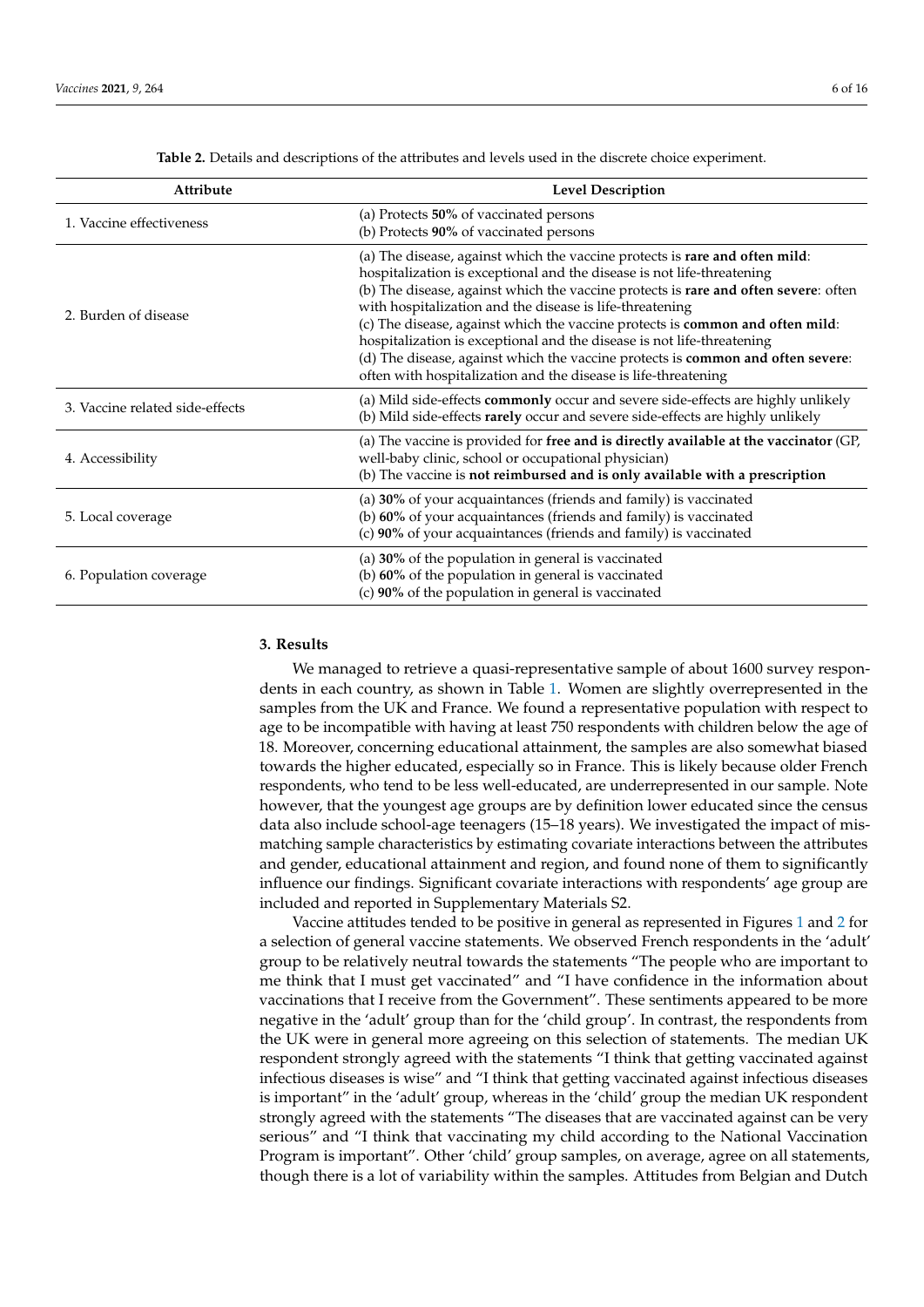<span id="page-5-0"></span>

| Attribute                       | <b>Level Description</b>                                                                                                                                                                                                                                                                                                                                                                                                                                                                                                                                                                                                 |
|---------------------------------|--------------------------------------------------------------------------------------------------------------------------------------------------------------------------------------------------------------------------------------------------------------------------------------------------------------------------------------------------------------------------------------------------------------------------------------------------------------------------------------------------------------------------------------------------------------------------------------------------------------------------|
| 1. Vaccine effectiveness        | (a) Protects 50% of vaccinated persons<br>(b) Protects 90% of vaccinated persons                                                                                                                                                                                                                                                                                                                                                                                                                                                                                                                                         |
| 2. Burden of disease            | (a) The disease, against which the vaccine protects is rare and often mild:<br>hospitalization is exceptional and the disease is not life-threatening<br>(b) The disease, against which the vaccine protects is rare and often severe: often<br>with hospitalization and the disease is life-threatening<br>(c) The disease, against which the vaccine protects is common and often mild:<br>hospitalization is exceptional and the disease is not life-threatening<br>(d) The disease, against which the vaccine protects is common and often severe:<br>often with hospitalization and the disease is life-threatening |
| 3. Vaccine related side-effects | (a) Mild side-effects commonly occur and severe side-effects are highly unlikely<br>(b) Mild side-effects rarely occur and severe side-effects are highly unlikely                                                                                                                                                                                                                                                                                                                                                                                                                                                       |
| 4. Accessibility                | (a) The vaccine is provided for free and is directly available at the vaccinator (GP,<br>well-baby clinic, school or occupational physician)<br>(b) The vaccine is not reimbursed and is only available with a prescription                                                                                                                                                                                                                                                                                                                                                                                              |
| 5. Local coverage               | (a) 30% of your acquaintances (friends and family) is vaccinated<br>(b) 60% of your acquaintances (friends and family) is vaccinated<br>(c) 90% of your acquaintances (friends and family) is vaccinated                                                                                                                                                                                                                                                                                                                                                                                                                 |
| 6. Population coverage          | (a) 30% of the population in general is vaccinated<br>(b) 60% of the population in general is vaccinated<br>(c) 90% of the population in general is vaccinated                                                                                                                                                                                                                                                                                                                                                                                                                                                           |

**Table 2.** Details and descriptions of the attributes and levels used in the discrete choice experiment.

## **3. Results**

We managed to retrieve a quasi-representative sample of about 1600 survey respondents in each country, as shown in Table [1.](#page-4-0) Women are slightly overrepresented in the samples from the UK and France. We found a representative population with respect to age to be incompatible with having at least 750 respondents with children below the age of 18. Moreover, concerning educational attainment, the samples are also somewhat biased towards the higher educated, especially so in France. This is likely because older French respondents, who tend to be less well-educated, are underrepresented in our sample. Note however, that the youngest age groups are by definition lower educated since the census data also include school-age teenagers (15–18 years). We investigated the impact of mismatching sample characteristics by estimating covariate interactions between the attributes and gender, educational attainment and region, and found none of them to significantly influence our findings. Significant covariate interactions with respondents' age group are included and reported in Supplementary Materials S2.

Vaccine attitudes tended to be positive in general as represented in Figures [1](#page-6-0) and [2](#page-6-1) for a selection of general vaccine statements. We observed French respondents in the 'adult' group to be relatively neutral towards the statements "The people who are important to me think that I must get vaccinated" and "I have confidence in the information about vaccinations that I receive from the Government". These sentiments appeared to be more negative in the 'adult' group than for the 'child group'. In contrast, the respondents from the UK were in general more agreeing on this selection of statements. The median UK respondent strongly agreed with the statements "I think that getting vaccinated against infectious diseases is wise" and "I think that getting vaccinated against infectious diseases is important" in the 'adult' group, whereas in the 'child' group the median UK respondent strongly agreed with the statements "The diseases that are vaccinated against can be very serious" and "I think that vaccinating my child according to the National Vaccination Program is important". Other 'child' group samples, on average, agree on all statements, though there is a lot of variability within the samples. Attitudes from Belgian and Dutch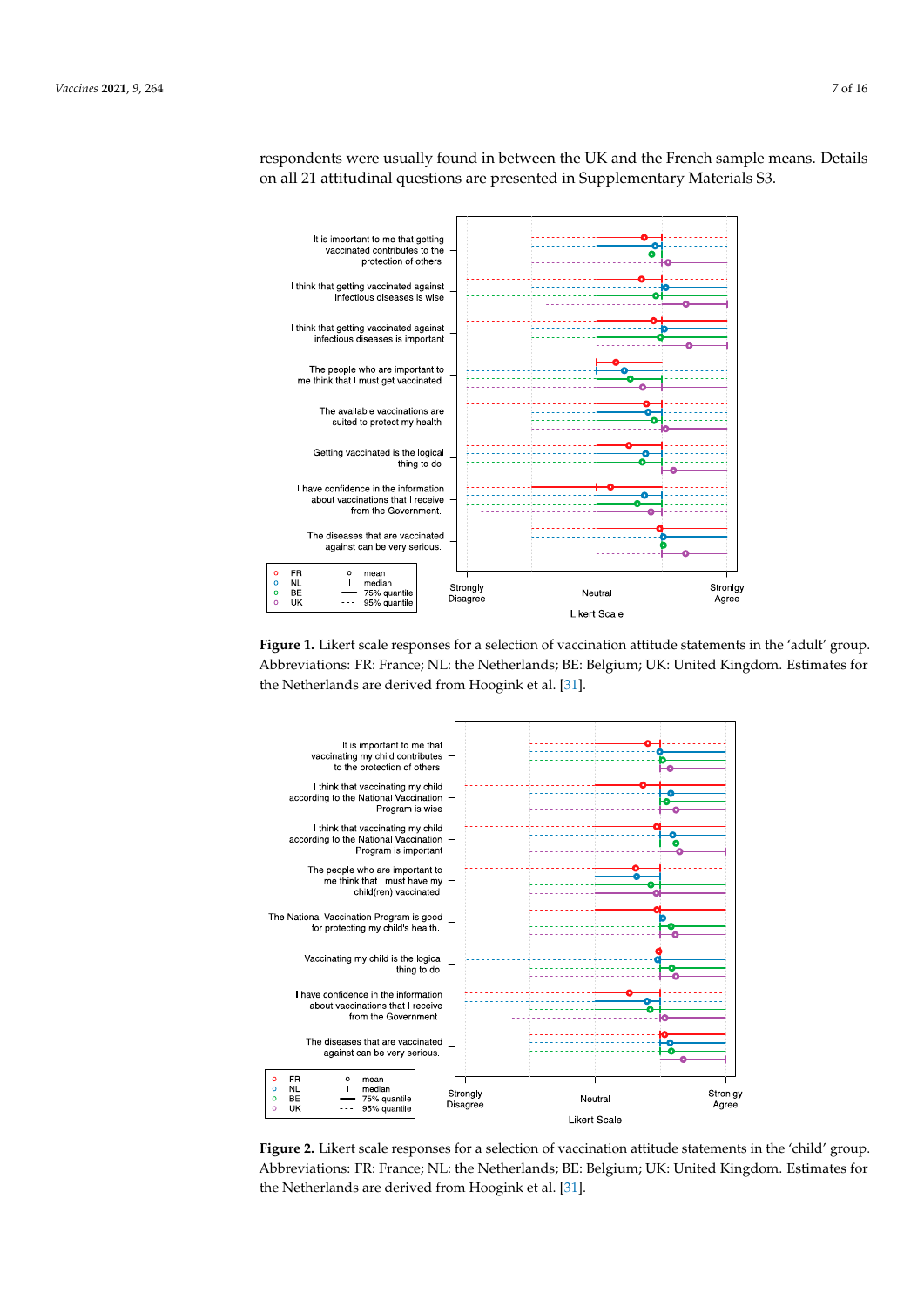<span id="page-6-0"></span>

respondents were usually found in between the UK and the French sample means. Details on all 21 attitudinal questions are presented in Supplementary Materials S3.

cination Program is important". Other 'child' group samples, on average, agree on all

Figure 1. Likert scale responses for a selection of vaccination attitude statements in the 'adult' group. Abbreviations: FR: France; NL: the Netherlands; BE: Belgium; UK: United Kingdom. Estimates for the Netherlands are derived from Hoogink et al. [\[31\]](#page-14-8).

<span id="page-6-1"></span>

**Figure 2.** Likert scale responses for a selection of vaccination attitude statements in the 'child' **Figure 2.** Likert scale responses for a selection of vaccination attitude statements in the 'child' group. Abbreviations: FR: France; NL: the Netherlands; BE: Belgium; UK: United Kingdom. Estimates for the Netherlands are derived from Hoo[gink](#page-14-8) et al. [31].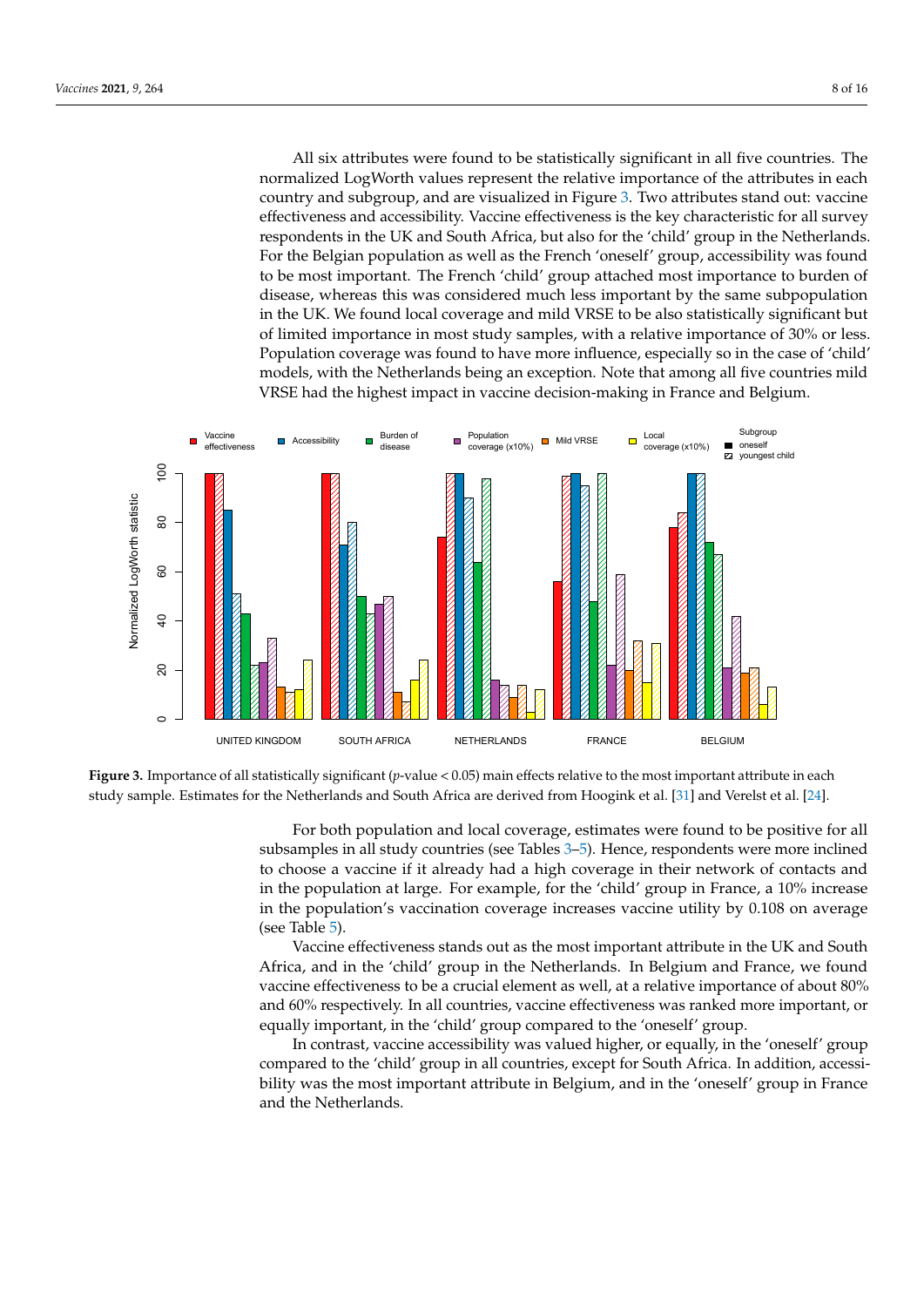All six attributes were found to be statistically significant in all five countries. The normalized LogWorth values represent the relative importance of the attributes in each country and subgroup, and are visualized in Figure [3.](#page-7-0) Two attributes stand out: vaccine effectiveness and accessibility. Vaccine effectiveness is the key characteristic for all survey respondents in the UK and South Africa, but also for the 'child' group in the Netherlands. For the Belgian population as well as the French 'oneself' group, accessibility was found to be most important. The French 'child' group attached most importance to burden of disease, whereas this was considered much less important by the same subpopulation in the UK. We found local coverage and mild VRSE to be also statistically significant but of limited importance in most study samples, with a relative importance of 30% or less. Population coverage was found to have more influence, especially so in the case of 'child' models, with the Netherlands being an exception. Note that among all five countries mild VRSE had the highest impact in vaccine decision-making in France and Belgium.

<span id="page-7-0"></span>

Figure 3. Importance of all statistically significant (p-value <  $0.05$ ) main effects relative to the most important attribute in each study sample. Estimates for the Netherlands and South Africa are derived from Hoogink et al. [\[31\]](#page-14-8) and Verelst et al. [\[24\]](#page-14-6).

subsamples in all study countries (see Tables [3–](#page-8-0)[5\)](#page-9-0). Hence, respondents were more inclined to choose a vaccine if it already had a high coverage in their network of contacts and in the population's vaccination coverage increases vaccine utility by 0.108 on average For both population and local coverage, estimates were found to be positive for all in the population at large. For example, for the 'child' group in France, a 10% increase (see Table [5\)](#page-9-0).

**Vaccine effectiveness stands out as the most important attribute in the UK and South** Africa, and in the 'child' group in the Netherlands. In Belgium and France, we found Free of about 2033 (0.0334) 326.606 1 Free Accessible 0.403 (2.0334) 326.606 1 Free Accessive of about 80% vaccine effectiveness to be a crucial element as well, at a relative importance of about 80% equally important, in the 'child' group compared to the 'oneself' group. and 60% respectively. In all countries, vaccine effectiveness was ranked more important, or

In contrast, vaccine accessibility was valued higher, or equally, in the 'oneself' group<br>In contrast, vaccine accessibility was valued higher, or equally, in the 'oneself' group compared to the 'child' group in all countries, except for South Africa. In addition, accessi-<br>https://www.compared.com/www.compared.com bility was the most important attribute in Belgium, and in the 'oneself' group in France  $243.68$  3  $\mu$  and  $\mu$  and  $\mu$ . and the Netherlands.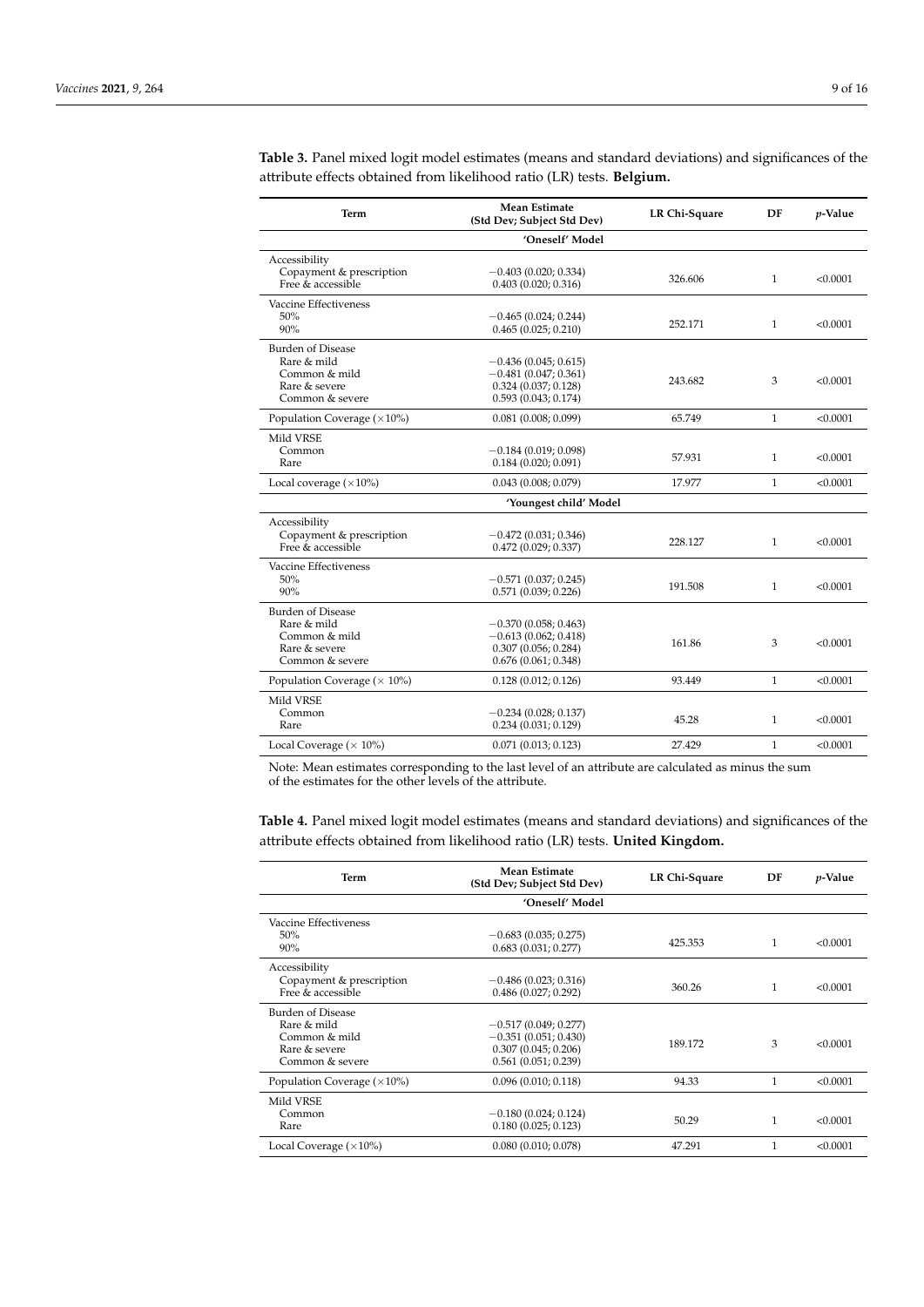| Term                                | <b>Mean Estimate</b><br>(Std Dev; Subject Std Dev) | LR Chi-Square | DF           | p-Value  |
|-------------------------------------|----------------------------------------------------|---------------|--------------|----------|
|                                     | 'Oneself' Model                                    |               |              |          |
| Accessibility                       |                                                    |               |              |          |
| Copayment & prescription            | $-0.403(0.020; 0.334)$                             | 326.606       | $\mathbf{1}$ | < 0.0001 |
| Free $\&$ accessible                | 0.403(0.020; 0.316)                                |               |              |          |
| Vaccine Effectiveness               |                                                    |               |              |          |
| 50%                                 | $-0.465(0.024; 0.244)$                             | 252.171       | 1            | < 0.0001 |
| 90%                                 | 0.465(0.025; 0.210)                                |               |              |          |
| <b>Burden of Disease</b>            |                                                    |               |              |          |
| Rare & mild                         | $-0.436(0.045; 0.615)$                             |               |              |          |
| Common & mild                       | $-0.481(0.047; 0.361)$                             | 243.682       | 3            | < 0.0001 |
| Rare & severe                       | 0.324(0.037; 0.128)                                |               |              |          |
| Common & severe                     | 0.593(0.043; 0.174)                                |               |              |          |
| Population Coverage $(\times 10\%)$ | 0.081(0.008; 0.099)                                | 65.749        | $\mathbf{1}$ | < 0.0001 |
| Mild VRSE                           |                                                    |               |              |          |
| Common                              | $-0.184(0.019; 0.098)$                             | 57.931        |              | < 0.0001 |
| Rare                                | 0.184(0.020; 0.091)                                |               | 1            |          |
| Local coverage $(\times 10\%)$      | 0.043(0.008; 0.079)                                | 17.977        | $\mathbf{1}$ | < 0.0001 |
|                                     | 'Youngest child' Model                             |               |              |          |
| Accessibility                       |                                                    |               |              |          |
| Copayment & prescription            | $-0.472(0.031; 0.346)$                             |               |              |          |
| Free $&$ accessible                 | 0.472(0.029; 0.337)                                | 228.127       | $\mathbf{1}$ | < 0.0001 |
| Vaccine Effectiveness               |                                                    |               |              |          |
| 50%                                 | $-0.571(0.037; 0.245)$                             |               |              |          |
| 90%                                 | 0.571(0.039; 0.226)                                | 191.508       | 1            | < 0.0001 |
| <b>Burden of Disease</b>            |                                                    |               |              |          |
| Rare & mild                         | $-0.370(0.058; 0.463)$                             |               |              |          |
| Common & mild                       | $-0.613(0.062; 0.418)$                             | 161.86        | 3            | < 0.0001 |
| Rare & severe                       | 0.307(0.056; 0.284)                                |               |              |          |
| Common & severe                     | 0.676(0.061; 0.348)                                |               |              |          |
| Population Coverage ( $\times$ 10%) | 0.128(0.012; 0.126)                                | 93.449        | $\mathbf{1}$ | < 0.0001 |
| Mild VRSE                           |                                                    |               |              |          |
| Common                              | $-0.234(0.028; 0.137)$                             | 45.28         |              |          |
| Rare                                | 0.234(0.031; 0.129)                                |               | 1            | < 0.0001 |
| Local Coverage ( $\times$ 10%)      | 0.071(0.013; 0.123)                                | 27.429        | 1            | < 0.0001 |
|                                     |                                                    |               |              |          |

<span id="page-8-0"></span>**Table 3.** Panel mixed logit model estimates (means and standard deviations) and significances of the attribute effects obtained from likelihood ratio (LR) tests. **Belgium.**

Note: Mean estimates corresponding to the last level of an attribute are calculated as minus the sum of the estimates for the other levels of the attribute.

**Table 4.** Panel mixed logit model estimates (means and standard deviations) and significances of the attribute effects obtained from likelihood ratio (LR) tests. **United Kingdom.**

| Term                                                                                  | Mean Estimate<br>(Std Dev; Subject Std Dev)                                                    | LR Chi-Square | DF           | <i>p</i> -Value |
|---------------------------------------------------------------------------------------|------------------------------------------------------------------------------------------------|---------------|--------------|-----------------|
|                                                                                       | 'Oneself' Model                                                                                |               |              |                 |
| Vaccine Effectiveness<br>50%<br>90%                                                   | $-0.683(0.035; 0.275)$<br>0.683(0.031; 0.277)                                                  | 425.353       | $\mathbf{1}$ | < 0.0001        |
| Accessibility                                                                         |                                                                                                |               |              |                 |
| Copayment & prescription<br>Free & accessible                                         | $-0.486(0.023; 0.316)$<br>0.486(0.027; 0.292)                                                  | 360.26        | 1            | < 0.0001        |
| Burden of Disease<br>Rare & mild<br>Common & mild<br>Rare & severe<br>Common & severe | $-0.517(0.049; 0.277)$<br>$-0.351(0.051; 0.430)$<br>0.307(0.045; 0.206)<br>0.561(0.051; 0.239) | 189.172       | 3            | < 0.0001        |
| Population Coverage $(\times 10\%)$                                                   | 0.096(0.010; 0.118)                                                                            | 94.33         | 1            | < 0.0001        |
| Mild VRSE<br>Common<br>Rare                                                           | $-0.180(0.024; 0.124)$<br>0.180(0.025; 0.123)                                                  | 50.29         | 1            | < 0.0001        |
| Local Coverage $(\times 10\%)$                                                        | 0.080(0.010; 0.078)                                                                            | 47.291        | 1            | < 0.0001        |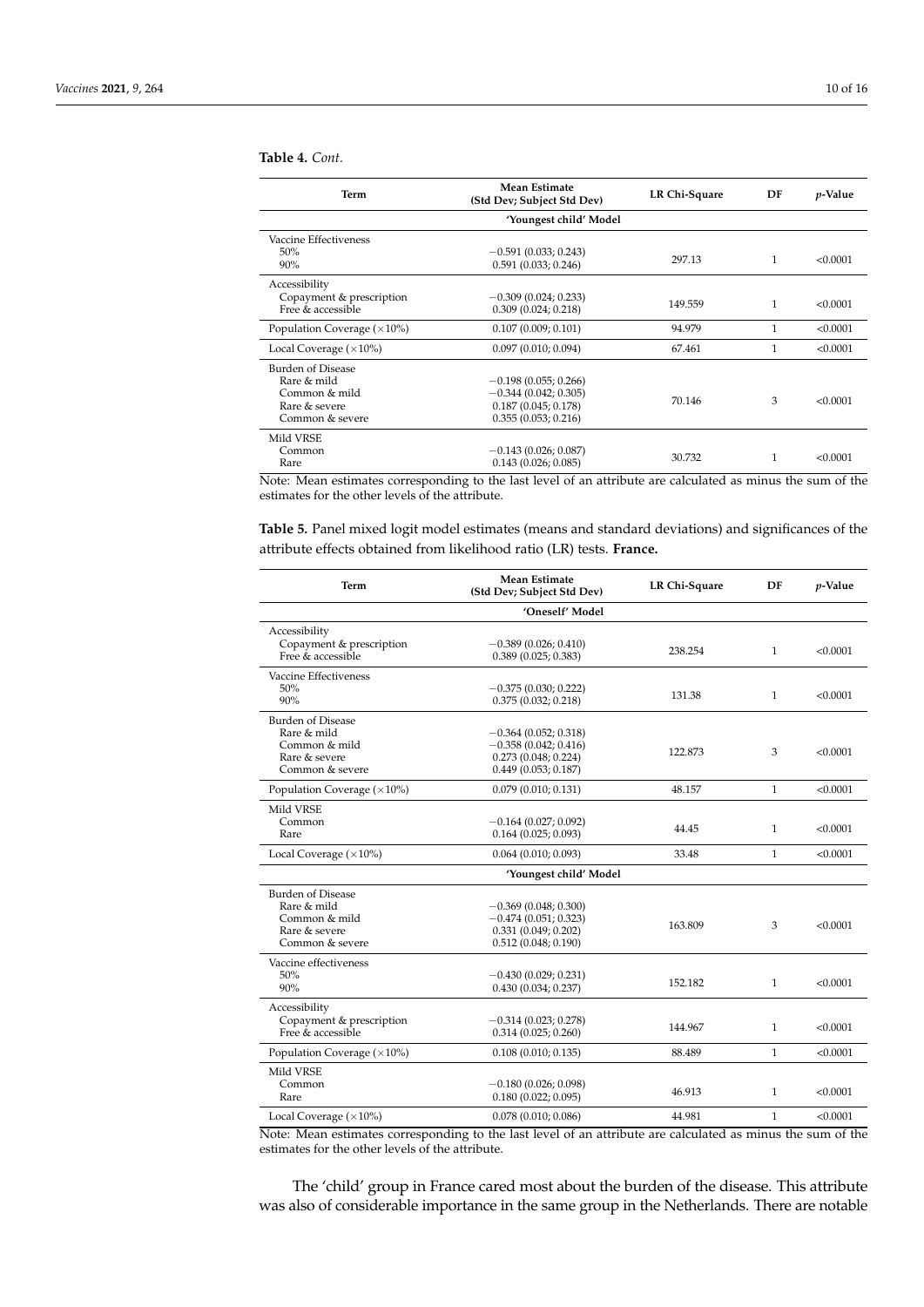### **Table 4.** *Cont.*

| <b>Term</b>                                   | Mean Estimate<br>(Std Dev; Subject Std Dev)   | LR Chi-Square | DF | <i>p</i> -Value |
|-----------------------------------------------|-----------------------------------------------|---------------|----|-----------------|
|                                               | 'Youngest child' Model                        |               |    |                 |
| Vaccine Effectiveness                         |                                               |               |    |                 |
| 50%<br>90%                                    | $-0.591(0.033; 0.243)$<br>0.591(0.033; 0.246) | 297.13        | 1  | < 0.0001        |
| Accessibility                                 |                                               |               |    |                 |
| Copayment & prescription<br>Free & accessible | $-0.309(0.024; 0.233)$<br>0.309(0.024; 0.218) | 149.559       | 1  | < 0.0001        |
| Population Coverage $(\times 10\%)$           | 0.107(0.009; 0.101)                           | 94.979        | 1  | < 0.0001        |
| Local Coverage $(\times 10\%)$                | 0.097(0.010; 0.094)                           | 67.461        | 1  | < 0.0001        |
| Burden of Disease                             |                                               |               |    |                 |
| Rare & mild                                   | $-0.198(0.055; 0.266)$                        |               |    |                 |
| Common & mild                                 | $-0.344(0.042; 0.305)$                        | 70.146        | 3  | < 0.0001        |
| Rare & severe                                 | 0.187(0.045; 0.178)                           |               |    |                 |
| Common & severe                               | 0.355(0.053; 0.216)                           |               |    |                 |
| Mild VRSE                                     |                                               |               |    |                 |
| Common                                        | $-0.143(0.026; 0.087)$                        |               |    |                 |
| Rare                                          | 0.143(0.026; 0.085)                           | 30.732        | 1  | < 0.0001        |

Note: Mean estimates corresponding to the last level of an attribute are calculated as minus the sum of the estimates for the other levels of the attribute.

<span id="page-9-0"></span>**Table 5.** Panel mixed logit model estimates (means and standard deviations) and significances of the attribute effects obtained from likelihood ratio (LR) tests. **France.**

| Term                                                                                         | <b>Mean Estimate</b><br>(Std Dev; Subject Std Dev)                                             | LR Chi-Square | DF           | $p$ -Value |
|----------------------------------------------------------------------------------------------|------------------------------------------------------------------------------------------------|---------------|--------------|------------|
|                                                                                              | 'Oneself' Model                                                                                |               |              |            |
| Accessibility<br>Copayment & prescription<br>Free & accessible                               | $-0.389(0.026; 0.410)$<br>0.389(0.025; 0.383)                                                  | 238.254       | $\mathbf{1}$ | < 0.0001   |
| Vaccine Effectiveness<br>50%<br>90%                                                          | $-0.375(0.030; 0.222)$<br>0.375(0.032; 0.218)                                                  | 131.38        | $\mathbf{1}$ | < 0.0001   |
| <b>Burden of Disease</b><br>Rare & mild<br>Common & mild<br>Rare & severe<br>Common & severe | $-0.364(0.052; 0.318)$<br>$-0.358(0.042; 0.416)$<br>0.273(0.048; 0.224)<br>0.449(0.053; 0.187) | 122.873       | 3            | < 0.0001   |
| Population Coverage $(\times 10\%)$                                                          | 0.079(0.010; 0.131)                                                                            | 48.157        | $\mathbf{1}$ | < 0.0001   |
| Mild VRSE<br>Common<br>Rare                                                                  | $-0.164(0.027; 0.092)$<br>0.164(0.025; 0.093)                                                  | 44.45         | 1            | < 0.0001   |
| Local Coverage $(\times 10\%)$                                                               | $0.064$ (0.010; 0.093)                                                                         | 33.48         | $\mathbf{1}$ | < 0.0001   |
| 'Youngest child' Model                                                                       |                                                                                                |               |              |            |
| <b>Burden of Disease</b><br>Rare & mild<br>Common & mild<br>Rare & severe<br>Common & severe | $-0.369(0.048; 0.300)$<br>$-0.474(0.051; 0.323)$<br>0.331(0.049; 0.202)<br>0.512(0.048; 0.190) | 163.809       | 3            | < 0.0001   |
| Vaccine effectiveness<br>50%<br>90%                                                          | $-0.430(0.029; 0.231)$<br>0.430(0.034; 0.237)                                                  | 152.182       | $\mathbf{1}$ | < 0.0001   |
| Accessibility<br>Copayment & prescription<br>Free & accessible                               | $-0.314(0.023; 0.278)$<br>0.314(0.025; 0.260)                                                  | 144.967       | $\mathbf{1}$ | < 0.0001   |
| Population Coverage $(\times 10\%)$                                                          | 0.108(0.010; 0.135)                                                                            | 88.489        | $\mathbf{1}$ | < 0.0001   |
| Mild VRSE<br>Common<br>Rare                                                                  | $-0.180(0.026; 0.098)$<br>0.180(0.022; 0.095)                                                  | 46.913        | $\mathbf{1}$ | < 0.0001   |
| Local Coverage $(\times 10\%)$                                                               | 0.078(0.010; 0.086)                                                                            | 44.981        | $\mathbf{1}$ | < 0.0001   |

Note: Mean estimates corresponding to the last level of an attribute are calculated as minus the sum of the estimates for the other levels of the attribute.

The 'child' group in France cared most about the burden of the disease. This attribute was also of considerable importance in the same group in the Netherlands. There are notable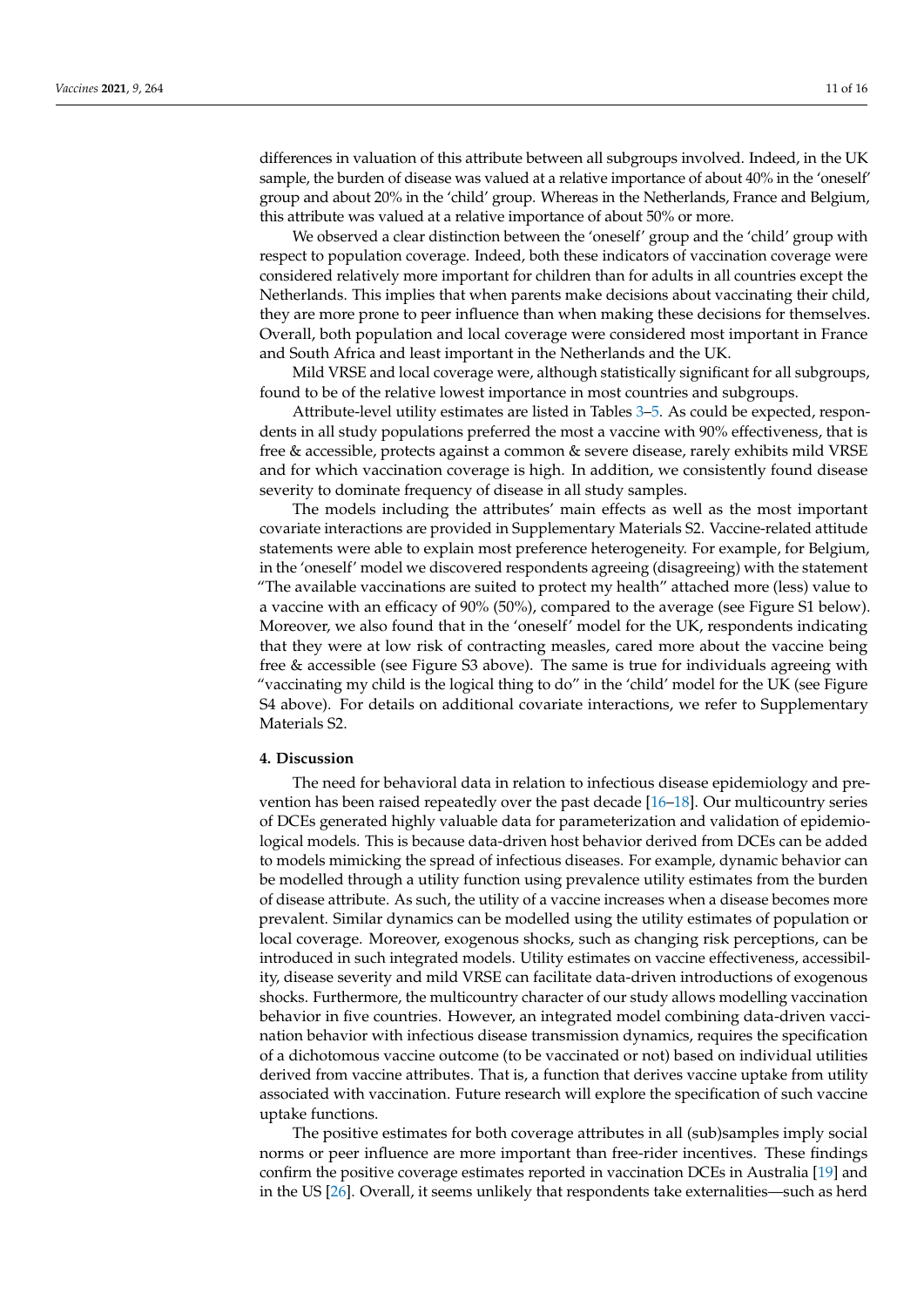differences in valuation of this attribute between all subgroups involved. Indeed, in the UK sample, the burden of disease was valued at a relative importance of about 40% in the 'oneself' group and about 20% in the 'child' group. Whereas in the Netherlands, France and Belgium, this attribute was valued at a relative importance of about 50% or more.

We observed a clear distinction between the 'oneself' group and the 'child' group with respect to population coverage. Indeed, both these indicators of vaccination coverage were considered relatively more important for children than for adults in all countries except the Netherlands. This implies that when parents make decisions about vaccinating their child, they are more prone to peer influence than when making these decisions for themselves. Overall, both population and local coverage were considered most important in France and South Africa and least important in the Netherlands and the UK.

Mild VRSE and local coverage were, although statistically significant for all subgroups, found to be of the relative lowest importance in most countries and subgroups.

Attribute-level utility estimates are listed in Tables [3–](#page-8-0)[5.](#page-9-0) As could be expected, respondents in all study populations preferred the most a vaccine with 90% effectiveness, that is free & accessible, protects against a common & severe disease, rarely exhibits mild VRSE and for which vaccination coverage is high. In addition, we consistently found disease severity to dominate frequency of disease in all study samples.

The models including the attributes' main effects as well as the most important covariate interactions are provided in Supplementary Materials S2. Vaccine-related attitude statements were able to explain most preference heterogeneity. For example, for Belgium, in the 'oneself' model we discovered respondents agreeing (disagreeing) with the statement "The available vaccinations are suited to protect my health" attached more (less) value to a vaccine with an efficacy of 90% (50%), compared to the average (see Figure S1 below). Moreover, we also found that in the 'oneself' model for the UK, respondents indicating that they were at low risk of contracting measles, cared more about the vaccine being free & accessible (see Figure S3 above). The same is true for individuals agreeing with "vaccinating my child is the logical thing to do" in the 'child' model for the UK (see Figure S4 above). For details on additional covariate interactions, we refer to Supplementary Materials S2.

## **4. Discussion**

The need for behavioral data in relation to infectious disease epidemiology and prevention has been raised repeatedly over the past decade [\[16](#page-13-15)[–18\]](#page-13-17). Our multicountry series of DCEs generated highly valuable data for parameterization and validation of epidemiological models. This is because data-driven host behavior derived from DCEs can be added to models mimicking the spread of infectious diseases. For example, dynamic behavior can be modelled through a utility function using prevalence utility estimates from the burden of disease attribute. As such, the utility of a vaccine increases when a disease becomes more prevalent. Similar dynamics can be modelled using the utility estimates of population or local coverage. Moreover, exogenous shocks, such as changing risk perceptions, can be introduced in such integrated models. Utility estimates on vaccine effectiveness, accessibility, disease severity and mild VRSE can facilitate data-driven introductions of exogenous shocks. Furthermore, the multicountry character of our study allows modelling vaccination behavior in five countries. However, an integrated model combining data-driven vaccination behavior with infectious disease transmission dynamics, requires the specification of a dichotomous vaccine outcome (to be vaccinated or not) based on individual utilities derived from vaccine attributes. That is, a function that derives vaccine uptake from utility associated with vaccination. Future research will explore the specification of such vaccine uptake functions.

The positive estimates for both coverage attributes in all (sub)samples imply social norms or peer influence are more important than free-rider incentives. These findings confirm the positive coverage estimates reported in vaccination DCEs in Australia [\[19\]](#page-13-18) and in the US [\[26\]](#page-14-0). Overall, it seems unlikely that respondents take externalities—such as herd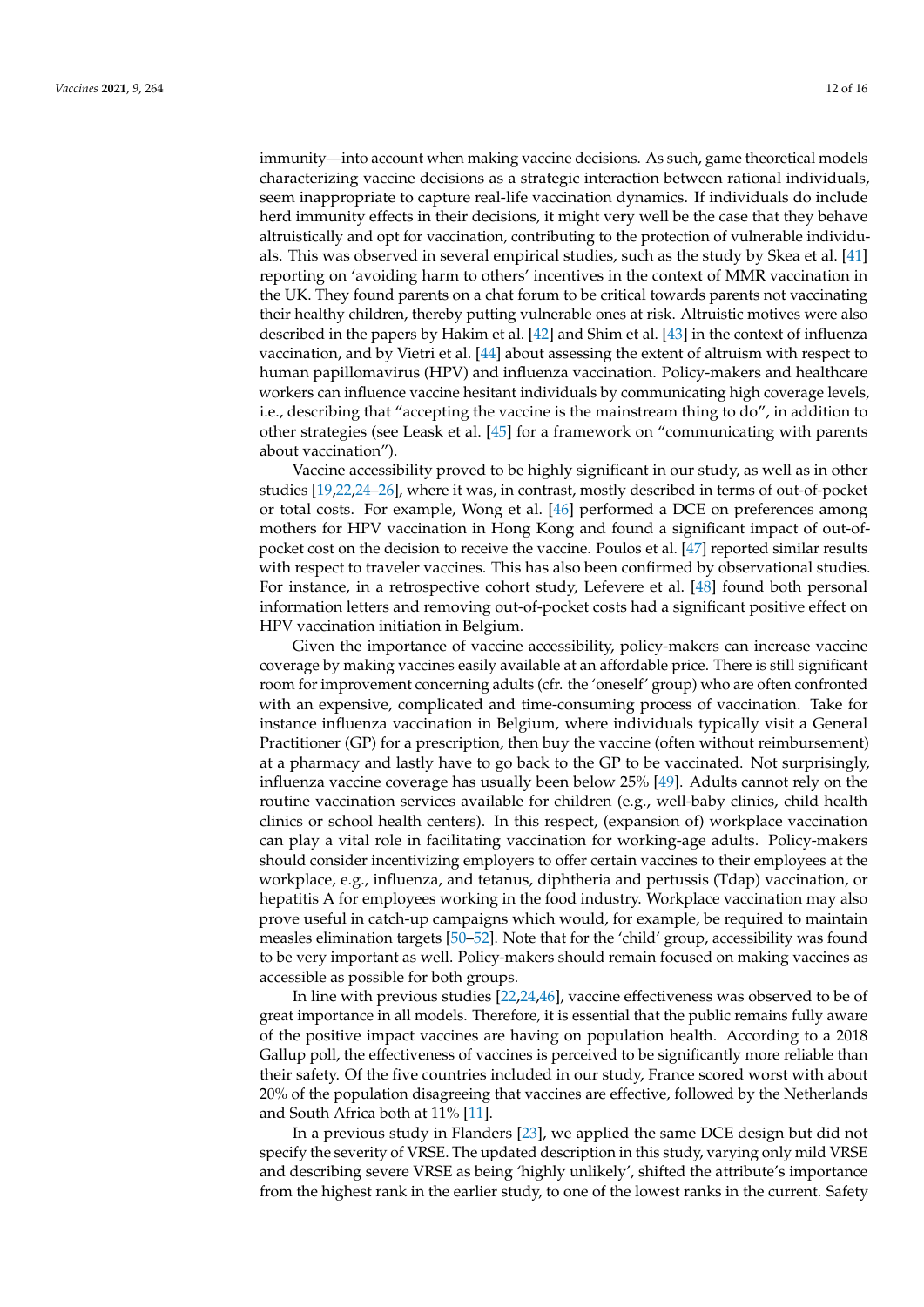immunity—into account when making vaccine decisions. As such, game theoretical models characterizing vaccine decisions as a strategic interaction between rational individuals, seem inappropriate to capture real-life vaccination dynamics. If individuals do include herd immunity effects in their decisions, it might very well be the case that they behave altruistically and opt for vaccination, contributing to the protection of vulnerable individuals. This was observed in several empirical studies, such as the study by Skea et al. [\[41\]](#page-14-19) reporting on 'avoiding harm to others' incentives in the context of MMR vaccination in the UK. They found parents on a chat forum to be critical towards parents not vaccinating their healthy children, thereby putting vulnerable ones at risk. Altruistic motives were also described in the papers by Hakim et al. [\[42\]](#page-14-20) and Shim et al. [\[43\]](#page-14-21) in the context of influenza vaccination, and by Vietri et al. [\[44\]](#page-14-22) about assessing the extent of altruism with respect to human papillomavirus (HPV) and influenza vaccination. Policy-makers and healthcare workers can influence vaccine hesitant individuals by communicating high coverage levels, i.e., describing that "accepting the vaccine is the mainstream thing to do", in addition to other strategies (see Leask et al. [\[45\]](#page-14-23) for a framework on "communicating with parents about vaccination").

Vaccine accessibility proved to be highly significant in our study, as well as in other studies [\[19,](#page-13-18)[22,](#page-14-3)[24–](#page-14-6)[26\]](#page-14-0), where it was, in contrast, mostly described in terms of out-of-pocket or total costs. For example, Wong et al. [\[46\]](#page-14-24) performed a DCE on preferences among mothers for HPV vaccination in Hong Kong and found a significant impact of out-ofpocket cost on the decision to receive the vaccine. Poulos et al. [\[47\]](#page-14-25) reported similar results with respect to traveler vaccines. This has also been confirmed by observational studies. For instance, in a retrospective cohort study, Lefevere et al. [\[48\]](#page-14-26) found both personal information letters and removing out-of-pocket costs had a significant positive effect on HPV vaccination initiation in Belgium.

Given the importance of vaccine accessibility, policy-makers can increase vaccine coverage by making vaccines easily available at an affordable price. There is still significant room for improvement concerning adults (cfr. the 'oneself' group) who are often confronted with an expensive, complicated and time-consuming process of vaccination. Take for instance influenza vaccination in Belgium, where individuals typically visit a General Practitioner (GP) for a prescription, then buy the vaccine (often without reimbursement) at a pharmacy and lastly have to go back to the GP to be vaccinated. Not surprisingly, influenza vaccine coverage has usually been below 25% [\[49\]](#page-15-0). Adults cannot rely on the routine vaccination services available for children (e.g., well-baby clinics, child health clinics or school health centers). In this respect, (expansion of) workplace vaccination can play a vital role in facilitating vaccination for working-age adults. Policy-makers should consider incentivizing employers to offer certain vaccines to their employees at the workplace, e.g., influenza, and tetanus, diphtheria and pertussis (Tdap) vaccination, or hepatitis A for employees working in the food industry. Workplace vaccination may also prove useful in catch-up campaigns which would, for example, be required to maintain measles elimination targets [\[50–](#page-15-1)[52\]](#page-15-2). Note that for the 'child' group, accessibility was found to be very important as well. Policy-makers should remain focused on making vaccines as accessible as possible for both groups.

In line with previous studies [\[22,](#page-14-3)[24](#page-14-6)[,46\]](#page-14-24), vaccine effectiveness was observed to be of great importance in all models. Therefore, it is essential that the public remains fully aware of the positive impact vaccines are having on population health. According to a 2018 Gallup poll, the effectiveness of vaccines is perceived to be significantly more reliable than their safety. Of the five countries included in our study, France scored worst with about 20% of the population disagreeing that vaccines are effective, followed by the Netherlands and South Africa both at 11% [\[11\]](#page-13-10).

In a previous study in Flanders [\[23\]](#page-14-13), we applied the same DCE design but did not specify the severity of VRSE. The updated description in this study, varying only mild VRSE and describing severe VRSE as being 'highly unlikely', shifted the attribute's importance from the highest rank in the earlier study, to one of the lowest ranks in the current. Safety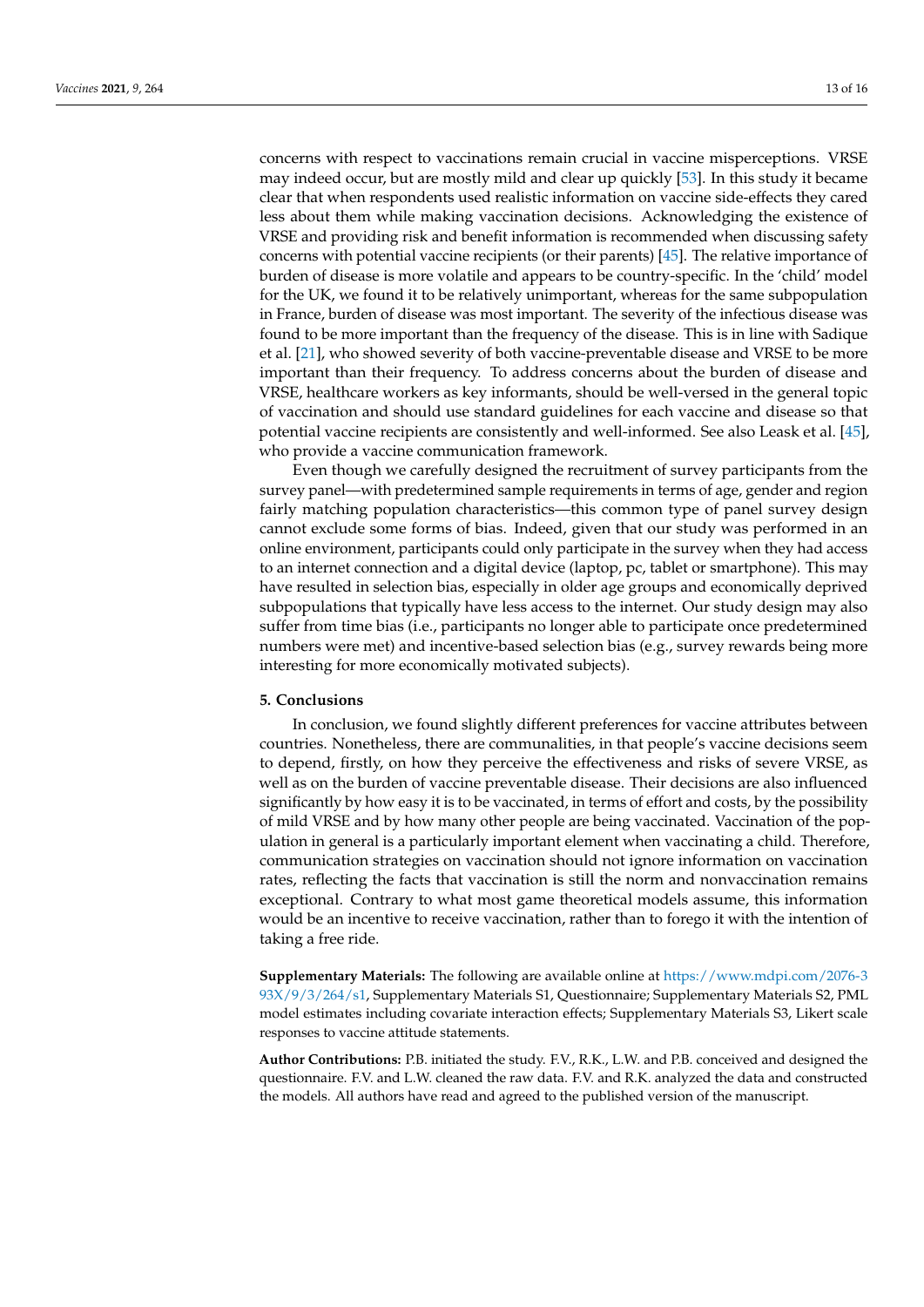concerns with respect to vaccinations remain crucial in vaccine misperceptions. VRSE may indeed occur, but are mostly mild and clear up quickly [\[53\]](#page-15-3). In this study it became clear that when respondents used realistic information on vaccine side-effects they cared less about them while making vaccination decisions. Acknowledging the existence of VRSE and providing risk and benefit information is recommended when discussing safety concerns with potential vaccine recipients (or their parents) [\[45\]](#page-14-23). The relative importance of burden of disease is more volatile and appears to be country-specific. In the 'child' model for the UK, we found it to be relatively unimportant, whereas for the same subpopulation in France, burden of disease was most important. The severity of the infectious disease was found to be more important than the frequency of the disease. This is in line with Sadique et al. [\[21\]](#page-13-20), who showed severity of both vaccine-preventable disease and VRSE to be more important than their frequency. To address concerns about the burden of disease and VRSE, healthcare workers as key informants, should be well-versed in the general topic of vaccination and should use standard guidelines for each vaccine and disease so that potential vaccine recipients are consistently and well-informed. See also Leask et al. [\[45\]](#page-14-23), who provide a vaccine communication framework.

Even though we carefully designed the recruitment of survey participants from the survey panel—with predetermined sample requirements in terms of age, gender and region fairly matching population characteristics—this common type of panel survey design cannot exclude some forms of bias. Indeed, given that our study was performed in an online environment, participants could only participate in the survey when they had access to an internet connection and a digital device (laptop, pc, tablet or smartphone). This may have resulted in selection bias, especially in older age groups and economically deprived subpopulations that typically have less access to the internet. Our study design may also suffer from time bias (i.e., participants no longer able to participate once predetermined numbers were met) and incentive-based selection bias (e.g., survey rewards being more interesting for more economically motivated subjects).

#### **5. Conclusions**

In conclusion, we found slightly different preferences for vaccine attributes between countries. Nonetheless, there are communalities, in that people's vaccine decisions seem to depend, firstly, on how they perceive the effectiveness and risks of severe VRSE, as well as on the burden of vaccine preventable disease. Their decisions are also influenced significantly by how easy it is to be vaccinated, in terms of effort and costs, by the possibility of mild VRSE and by how many other people are being vaccinated. Vaccination of the population in general is a particularly important element when vaccinating a child. Therefore, communication strategies on vaccination should not ignore information on vaccination rates, reflecting the facts that vaccination is still the norm and nonvaccination remains exceptional. Contrary to what most game theoretical models assume, this information would be an incentive to receive vaccination, rather than to forego it with the intention of taking a free ride.

**Supplementary Materials:** The following are available online at [https://www.mdpi.com/2076-3](https://www.mdpi.com/2076-393X/9/3/264/s1) [93X/9/3/264/s1,](https://www.mdpi.com/2076-393X/9/3/264/s1) Supplementary Materials S1, Questionnaire; Supplementary Materials S2, PML model estimates including covariate interaction effects; Supplementary Materials S3, Likert scale responses to vaccine attitude statements.

**Author Contributions:** P.B. initiated the study. F.V., R.K., L.W. and P.B. conceived and designed the questionnaire. F.V. and L.W. cleaned the raw data. F.V. and R.K. analyzed the data and constructed the models. All authors have read and agreed to the published version of the manuscript.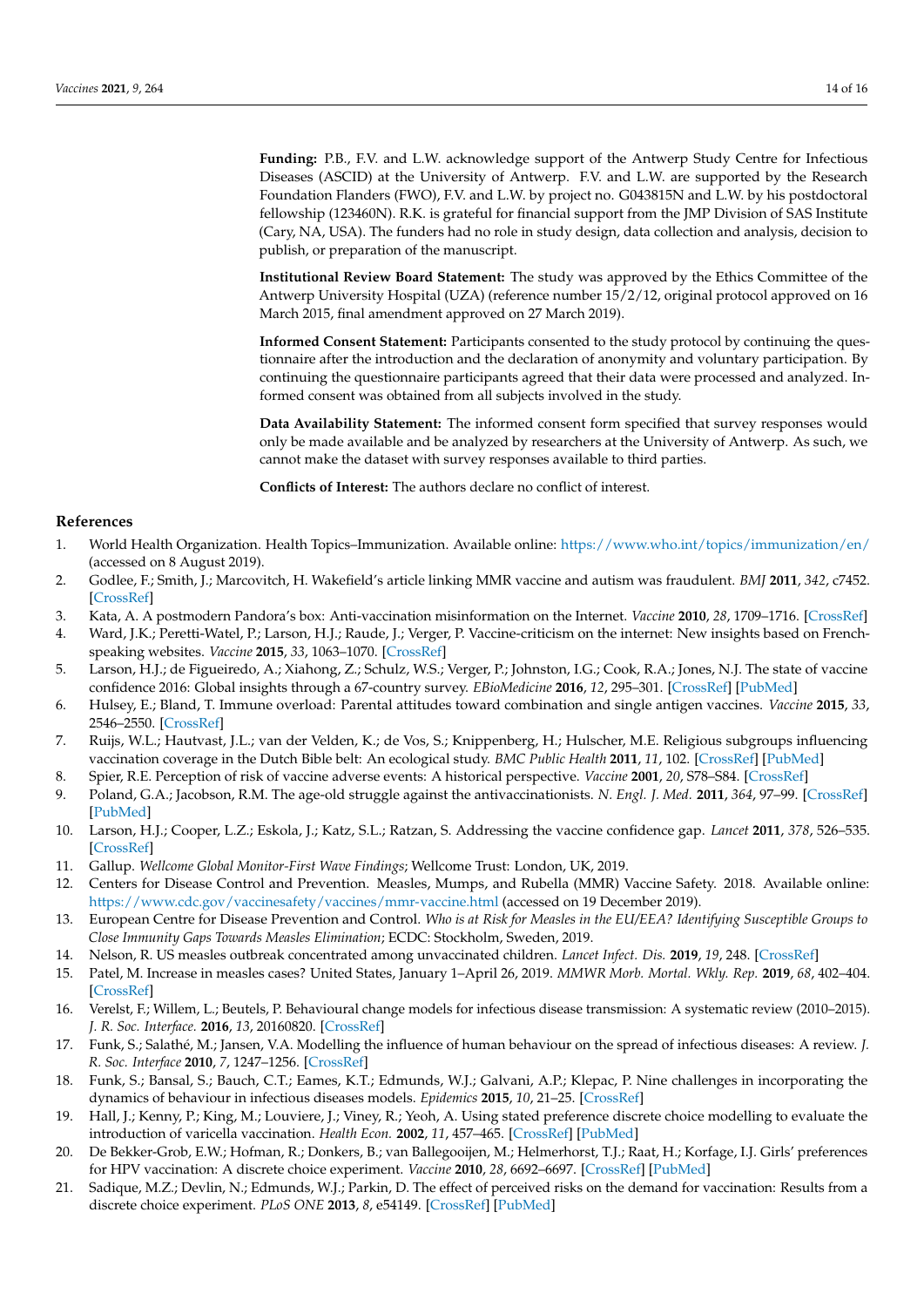**Funding:** P.B., F.V. and L.W. acknowledge support of the Antwerp Study Centre for Infectious Diseases (ASCID) at the University of Antwerp. F.V. and L.W. are supported by the Research Foundation Flanders (FWO), F.V. and L.W. by project no. G043815N and L.W. by his postdoctoral fellowship (123460N). R.K. is grateful for financial support from the JMP Division of SAS Institute (Cary, NA, USA). The funders had no role in study design, data collection and analysis, decision to publish, or preparation of the manuscript.

**Institutional Review Board Statement:** The study was approved by the Ethics Committee of the Antwerp University Hospital (UZA) (reference number 15/2/12, original protocol approved on 16 March 2015, final amendment approved on 27 March 2019).

**Informed Consent Statement:** Participants consented to the study protocol by continuing the questionnaire after the introduction and the declaration of anonymity and voluntary participation. By continuing the questionnaire participants agreed that their data were processed and analyzed. Informed consent was obtained from all subjects involved in the study.

**Data Availability Statement:** The informed consent form specified that survey responses would only be made available and be analyzed by researchers at the University of Antwerp. As such, we cannot make the dataset with survey responses available to third parties.

**Conflicts of Interest:** The authors declare no conflict of interest.

## **References**

- <span id="page-13-0"></span>1. World Health Organization. Health Topics–Immunization. Available online: <https://www.who.int/topics/immunization/en/> (accessed on 8 August 2019).
- <span id="page-13-1"></span>2. Godlee, F.; Smith, J.; Marcovitch, H. Wakefield's article linking MMR vaccine and autism was fraudulent. *BMJ* **2011**, *342*, c7452. [\[CrossRef\]](http://doi.org/10.1136/bmj.c7452)
- <span id="page-13-2"></span>3. Kata, A. A postmodern Pandora's box: Anti-vaccination misinformation on the Internet. *Vaccine* **2010**, *28*, 1709–1716. [\[CrossRef\]](http://doi.org/10.1016/j.vaccine.2009.12.022)
- <span id="page-13-3"></span>4. Ward, J.K.; Peretti-Watel, P.; Larson, H.J.; Raude, J.; Verger, P. Vaccine-criticism on the internet: New insights based on Frenchspeaking websites. *Vaccine* **2015**, *33*, 1063–1070. [\[CrossRef\]](http://doi.org/10.1016/j.vaccine.2014.12.064)
- <span id="page-13-4"></span>5. Larson, H.J.; de Figueiredo, A.; Xiahong, Z.; Schulz, W.S.; Verger, P.; Johnston, I.G.; Cook, R.A.; Jones, N.J. The state of vaccine confidence 2016: Global insights through a 67-country survey. *EBioMedicine* **2016**, *12*, 295–301. [\[CrossRef\]](http://doi.org/10.1016/j.ebiom.2016.08.042) [\[PubMed\]](http://www.ncbi.nlm.nih.gov/pubmed/27658738)
- <span id="page-13-5"></span>6. Hulsey, E.; Bland, T. Immune overload: Parental attitudes toward combination and single antigen vaccines. *Vaccine* **2015**, *33*, 2546–2550. [\[CrossRef\]](http://doi.org/10.1016/j.vaccine.2015.04.020)
- <span id="page-13-6"></span>7. Ruijs, W.L.; Hautvast, J.L.; van der Velden, K.; de Vos, S.; Knippenberg, H.; Hulscher, M.E. Religious subgroups influencing vaccination coverage in the Dutch Bible belt: An ecological study. *BMC Public Health* **2011**, *11*, 102. [\[CrossRef\]](http://doi.org/10.1186/1471-2458-11-102) [\[PubMed\]](http://www.ncbi.nlm.nih.gov/pubmed/21320348)
- <span id="page-13-7"></span>8. Spier, R.E. Perception of risk of vaccine adverse events: A historical perspective. *Vaccine* **2001**, *20*, S78–S84. [\[CrossRef\]](http://doi.org/10.1016/S0264-410X(01)00306-1)
- <span id="page-13-8"></span>9. Poland, G.A.; Jacobson, R.M. The age-old struggle against the antivaccinationists. *N. Engl. J. Med.* **2011**, *364*, 97–99. [\[CrossRef\]](http://doi.org/10.1056/NEJMp1010594) [\[PubMed\]](http://www.ncbi.nlm.nih.gov/pubmed/21226573)
- <span id="page-13-9"></span>10. Larson, H.J.; Cooper, L.Z.; Eskola, J.; Katz, S.L.; Ratzan, S. Addressing the vaccine confidence gap. *Lancet* **2011**, *378*, 526–535. [\[CrossRef\]](http://doi.org/10.1016/S0140-6736(11)60678-8)
- <span id="page-13-10"></span>11. Gallup. *Wellcome Global Monitor-First Wave Findings*; Wellcome Trust: London, UK, 2019.
- <span id="page-13-11"></span>12. Centers for Disease Control and Prevention. Measles, Mumps, and Rubella (MMR) Vaccine Safety. 2018. Available online: <https://www.cdc.gov/vaccinesafety/vaccines/mmr-vaccine.html> (accessed on 19 December 2019).
- <span id="page-13-12"></span>13. European Centre for Disease Prevention and Control. *Who is at Risk for Measles in the EU/EEA? Identifying Susceptible Groups to Close Immunity Gaps Towards Measles Elimination*; ECDC: Stockholm, Sweden, 2019.
- <span id="page-13-13"></span>14. Nelson, R. US measles outbreak concentrated among unvaccinated children. *Lancet Infect. Dis.* **2019**, *19*, 248. [\[CrossRef\]](http://doi.org/10.1016/S1473-3099(19)30074-X)
- <span id="page-13-14"></span>15. Patel, M. Increase in measles cases? United States, January 1–April 26, 2019. *MMWR Morb. Mortal. Wkly. Rep.* **2019**, *68*, 402–404. [\[CrossRef\]](http://doi.org/10.15585/mmwr.mm6817e1)
- <span id="page-13-15"></span>16. Verelst, F.; Willem, L.; Beutels, P. Behavioural change models for infectious disease transmission: A systematic review (2010–2015). *J. R. Soc. Interface.* **2016**, *13*, 20160820. [\[CrossRef\]](http://doi.org/10.1098/rsif.2016.0820)
- <span id="page-13-16"></span>17. Funk, S.; Salathé, M.; Jansen, V.A. Modelling the influence of human behaviour on the spread of infectious diseases: A review. *J. R. Soc. Interface* **2010**, *7*, 1247–1256. [\[CrossRef\]](http://doi.org/10.1098/rsif.2010.0142)
- <span id="page-13-17"></span>18. Funk, S.; Bansal, S.; Bauch, C.T.; Eames, K.T.; Edmunds, W.J.; Galvani, A.P.; Klepac, P. Nine challenges in incorporating the dynamics of behaviour in infectious diseases models. *Epidemics* **2015**, *10*, 21–25. [\[CrossRef\]](http://doi.org/10.1016/j.epidem.2014.09.005)
- <span id="page-13-18"></span>19. Hall, J.; Kenny, P.; King, M.; Louviere, J.; Viney, R.; Yeoh, A. Using stated preference discrete choice modelling to evaluate the introduction of varicella vaccination. *Health Econ.* **2002**, *11*, 457–465. [\[CrossRef\]](http://doi.org/10.1002/hec.694) [\[PubMed\]](http://www.ncbi.nlm.nih.gov/pubmed/12112494)
- <span id="page-13-19"></span>20. De Bekker-Grob, E.W.; Hofman, R.; Donkers, B.; van Ballegooijen, M.; Helmerhorst, T.J.; Raat, H.; Korfage, I.J. Girls' preferences for HPV vaccination: A discrete choice experiment. *Vaccine* **2010**, *28*, 6692–6697. [\[CrossRef\]](http://doi.org/10.1016/j.vaccine.2010.08.001) [\[PubMed\]](http://www.ncbi.nlm.nih.gov/pubmed/20708696)
- <span id="page-13-20"></span>21. Sadique, M.Z.; Devlin, N.; Edmunds, W.J.; Parkin, D. The effect of perceived risks on the demand for vaccination: Results from a discrete choice experiment. *PLoS ONE* **2013**, *8*, e54149. [\[CrossRef\]](http://doi.org/10.1371/journal.pone.0054149) [\[PubMed\]](http://www.ncbi.nlm.nih.gov/pubmed/23408936)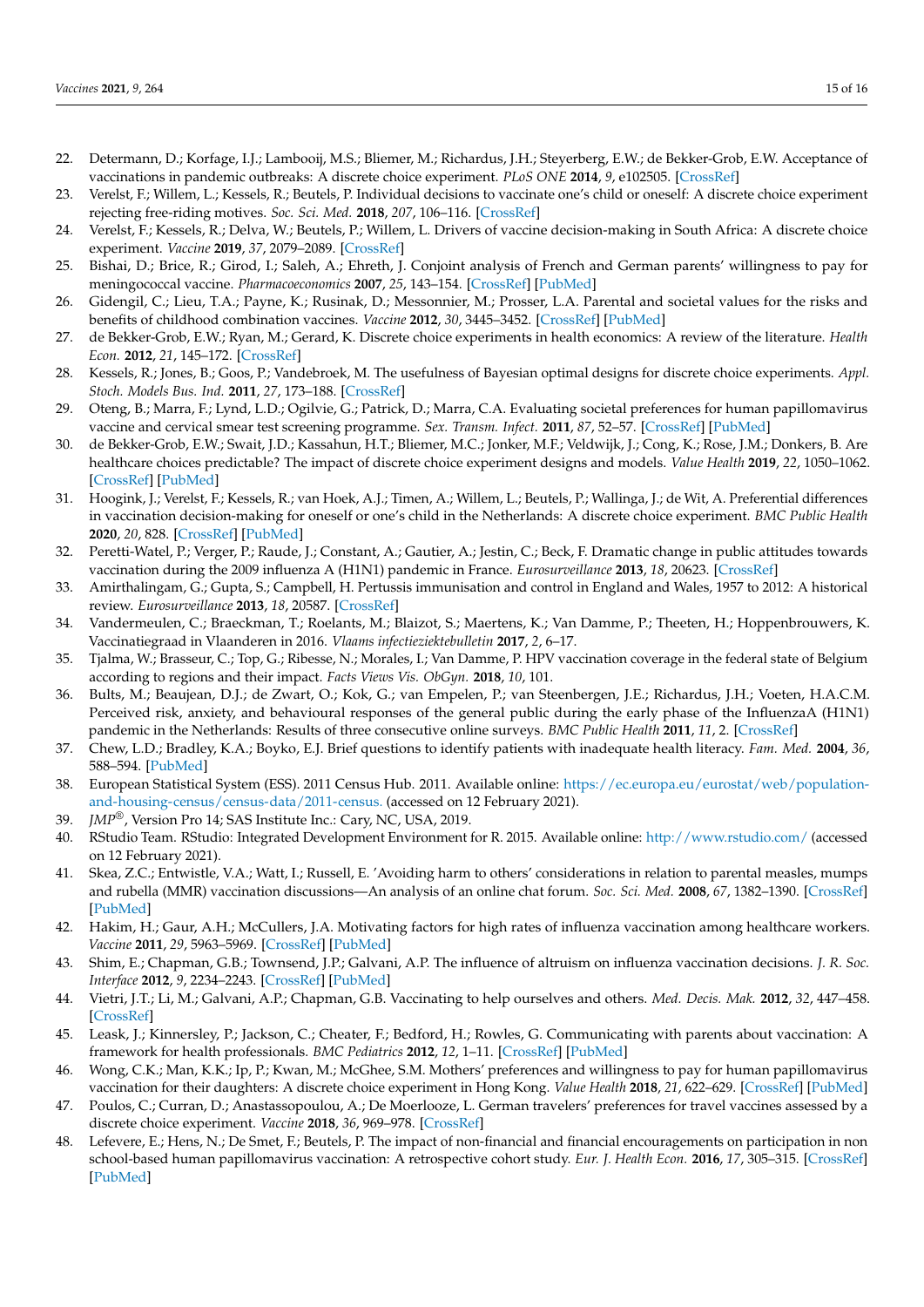- <span id="page-14-3"></span>22. Determann, D.; Korfage, I.J.; Lambooij, M.S.; Bliemer, M.; Richardus, J.H.; Steyerberg, E.W.; de Bekker-Grob, E.W. Acceptance of vaccinations in pandemic outbreaks: A discrete choice experiment. *PLoS ONE* **2014**, *9*, e102505. [\[CrossRef\]](http://doi.org/10.1371/journal.pone.0102505)
- <span id="page-14-13"></span>23. Verelst, F.; Willem, L.; Kessels, R.; Beutels, P. Individual decisions to vaccinate one's child or oneself: A discrete choice experiment rejecting free-riding motives. *Soc. Sci. Med.* **2018**, *207*, 106–116. [\[CrossRef\]](http://doi.org/10.1016/j.socscimed.2018.04.038)
- <span id="page-14-6"></span>24. Verelst, F.; Kessels, R.; Delva, W.; Beutels, P.; Willem, L. Drivers of vaccine decision-making in South Africa: A discrete choice experiment. *Vaccine* **2019**, *37*, 2079–2089. [\[CrossRef\]](http://doi.org/10.1016/j.vaccine.2019.02.056)
- <span id="page-14-4"></span>25. Bishai, D.; Brice, R.; Girod, I.; Saleh, A.; Ehreth, J. Conjoint analysis of French and German parents' willingness to pay for meningococcal vaccine. *Pharmacoeconomics* **2007**, *25*, 143–154. [\[CrossRef\]](http://doi.org/10.2165/00019053-200725020-00006) [\[PubMed\]](http://www.ncbi.nlm.nih.gov/pubmed/17249856)
- <span id="page-14-0"></span>26. Gidengil, C.; Lieu, T.A.; Payne, K.; Rusinak, D.; Messonnier, M.; Prosser, L.A. Parental and societal values for the risks and benefits of childhood combination vaccines. *Vaccine* **2012**, *30*, 3445–3452. [\[CrossRef\]](http://doi.org/10.1016/j.vaccine.2012.03.022) [\[PubMed\]](http://www.ncbi.nlm.nih.gov/pubmed/22449423)
- <span id="page-14-1"></span>27. de Bekker-Grob, E.W.; Ryan, M.; Gerard, K. Discrete choice experiments in health economics: A review of the literature. *Health Econ.* **2012**, *21*, 145–172. [\[CrossRef\]](http://doi.org/10.1002/hec.1697)
- <span id="page-14-2"></span>28. Kessels, R.; Jones, B.; Goos, P.; Vandebroek, M. The usefulness of Bayesian optimal designs for discrete choice experiments. *Appl. Stoch. Models Bus. Ind.* **2011**, *27*, 173–188. [\[CrossRef\]](http://doi.org/10.1002/asmb.906)
- <span id="page-14-5"></span>29. Oteng, B.; Marra, F.; Lynd, L.D.; Ogilvie, G.; Patrick, D.; Marra, C.A. Evaluating societal preferences for human papillomavirus vaccine and cervical smear test screening programme. *Sex. Transm. Infect.* **2011**, *87*, 52–57. [\[CrossRef\]](http://doi.org/10.1136/sti.2009.041392) [\[PubMed\]](http://www.ncbi.nlm.nih.gov/pubmed/20956352)
- <span id="page-14-7"></span>30. de Bekker-Grob, E.W.; Swait, J.D.; Kassahun, H.T.; Bliemer, M.C.; Jonker, M.F.; Veldwijk, J.; Cong, K.; Rose, J.M.; Donkers, B. Are healthcare choices predictable? The impact of discrete choice experiment designs and models. *Value Health* **2019**, *22*, 1050–1062. [\[CrossRef\]](http://doi.org/10.1016/j.jval.2019.04.1924) [\[PubMed\]](http://www.ncbi.nlm.nih.gov/pubmed/31511182)
- <span id="page-14-8"></span>31. Hoogink, J.; Verelst, F.; Kessels, R.; van Hoek, A.J.; Timen, A.; Willem, L.; Beutels, P.; Wallinga, J.; de Wit, A. Preferential differences in vaccination decision-making for oneself or one's child in the Netherlands: A discrete choice experiment. *BMC Public Health* **2020**, *20*, 828. [\[CrossRef\]](http://doi.org/10.1186/s12889-020-08844-w) [\[PubMed\]](http://www.ncbi.nlm.nih.gov/pubmed/32487041)
- <span id="page-14-9"></span>32. Peretti-Watel, P.; Verger, P.; Raude, J.; Constant, A.; Gautier, A.; Jestin, C.; Beck, F. Dramatic change in public attitudes towards vaccination during the 2009 influenza A (H1N1) pandemic in France. *Eurosurveillance* **2013**, *18*, 20623. [\[CrossRef\]](http://doi.org/10.2807/1560-7917.ES2013.18.44.20623)
- <span id="page-14-10"></span>33. Amirthalingam, G.; Gupta, S.; Campbell, H. Pertussis immunisation and control in England and Wales, 1957 to 2012: A historical review. *Eurosurveillance* **2013**, *18*, 20587. [\[CrossRef\]](http://doi.org/10.2807/1560-7917.ES2013.18.38.20587)
- <span id="page-14-11"></span>34. Vandermeulen, C.; Braeckman, T.; Roelants, M.; Blaizot, S.; Maertens, K.; Van Damme, P.; Theeten, H.; Hoppenbrouwers, K. Vaccinatiegraad in Vlaanderen in 2016. *Vlaams infectieziektebulletin* **2017**, *2*, 6–17.
- <span id="page-14-12"></span>35. Tjalma, W.; Brasseur, C.; Top, G.; Ribesse, N.; Morales, I.; Van Damme, P. HPV vaccination coverage in the federal state of Belgium according to regions and their impact. *Facts Views Vis. ObGyn.* **2018**, *10*, 101.
- <span id="page-14-14"></span>36. Bults, M.; Beaujean, D.J.; de Zwart, O.; Kok, G.; van Empelen, P.; van Steenbergen, J.E.; Richardus, J.H.; Voeten, H.A.C.M. Perceived risk, anxiety, and behavioural responses of the general public during the early phase of the InfluenzaA (H1N1) pandemic in the Netherlands: Results of three consecutive online surveys. *BMC Public Health* **2011**, *11*, 2. [\[CrossRef\]](http://doi.org/10.1186/1471-2458-11-2)
- <span id="page-14-15"></span>37. Chew, L.D.; Bradley, K.A.; Boyko, E.J. Brief questions to identify patients with inadequate health literacy. *Fam. Med.* **2004**, *36*, 588–594. [\[PubMed\]](http://www.ncbi.nlm.nih.gov/pubmed/15343421)
- <span id="page-14-16"></span>38. European Statistical System (ESS). 2011 Census Hub. 2011. Available online: [https://ec.europa.eu/eurostat/web/population](https://ec.europa.eu/eurostat/web/population-and-housing-census/census-data/2011-census.)[and-housing-census/census-data/2011-census.](https://ec.europa.eu/eurostat/web/population-and-housing-census/census-data/2011-census.) (accessed on 12 February 2021).
- <span id="page-14-17"></span>39. *JMP®*, Version Pro 14; SAS Institute Inc.: Cary, NC, USA, 2019.
- <span id="page-14-18"></span>40. RStudio Team. RStudio: Integrated Development Environment for R. 2015. Available online: <http://www.rstudio.com/> (accessed on 12 February 2021).
- <span id="page-14-19"></span>41. Skea, Z.C.; Entwistle, V.A.; Watt, I.; Russell, E. 'Avoiding harm to others' considerations in relation to parental measles, mumps and rubella (MMR) vaccination discussions—An analysis of an online chat forum. *Soc. Sci. Med.* **2008**, *67*, 1382–1390. [\[CrossRef\]](http://doi.org/10.1016/j.socscimed.2008.07.006) [\[PubMed\]](http://www.ncbi.nlm.nih.gov/pubmed/18703263)
- <span id="page-14-20"></span>42. Hakim, H.; Gaur, A.H.; McCullers, J.A. Motivating factors for high rates of influenza vaccination among healthcare workers. *Vaccine* **2011**, *29*, 5963–5969. [\[CrossRef\]](http://doi.org/10.1016/j.vaccine.2011.06.041) [\[PubMed\]](http://www.ncbi.nlm.nih.gov/pubmed/21699950)
- <span id="page-14-21"></span>43. Shim, E.; Chapman, G.B.; Townsend, J.P.; Galvani, A.P. The influence of altruism on influenza vaccination decisions. *J. R. Soc. Interface* **2012**, *9*, 2234–2243. [\[CrossRef\]](http://doi.org/10.1098/rsif.2012.0115) [\[PubMed\]](http://www.ncbi.nlm.nih.gov/pubmed/22496100)
- <span id="page-14-22"></span>44. Vietri, J.T.; Li, M.; Galvani, A.P.; Chapman, G.B. Vaccinating to help ourselves and others. *Med. Decis. Mak.* **2012**, *32*, 447–458. [\[CrossRef\]](http://doi.org/10.1177/0272989X11427762)
- <span id="page-14-23"></span>45. Leask, J.; Kinnersley, P.; Jackson, C.; Cheater, F.; Bedford, H.; Rowles, G. Communicating with parents about vaccination: A framework for health professionals. *BMC Pediatrics* **2012**, *12*, 1–11. [\[CrossRef\]](http://doi.org/10.1186/1471-2431-12-154) [\[PubMed\]](http://www.ncbi.nlm.nih.gov/pubmed/22998654)
- <span id="page-14-24"></span>46. Wong, C.K.; Man, K.K.; Ip, P.; Kwan, M.; McGhee, S.M. Mothers' preferences and willingness to pay for human papillomavirus vaccination for their daughters: A discrete choice experiment in Hong Kong. *Value Health* **2018**, *21*, 622–629. [\[CrossRef\]](http://doi.org/10.1016/j.jval.2017.10.012) [\[PubMed\]](http://www.ncbi.nlm.nih.gov/pubmed/29753361)
- <span id="page-14-25"></span>47. Poulos, C.; Curran, D.; Anastassopoulou, A.; De Moerlooze, L. German travelers' preferences for travel vaccines assessed by a discrete choice experiment. *Vaccine* **2018**, *36*, 969–978. [\[CrossRef\]](http://doi.org/10.1016/j.vaccine.2018.01.004)
- <span id="page-14-26"></span>48. Lefevere, E.; Hens, N.; De Smet, F.; Beutels, P. The impact of non-financial and financial encouragements on participation in non school-based human papillomavirus vaccination: A retrospective cohort study. *Eur. J. Health Econ.* **2016**, *17*, 305–315. [\[CrossRef\]](http://doi.org/10.1007/s10198-015-0680-2) [\[PubMed\]](http://www.ncbi.nlm.nih.gov/pubmed/25773050)